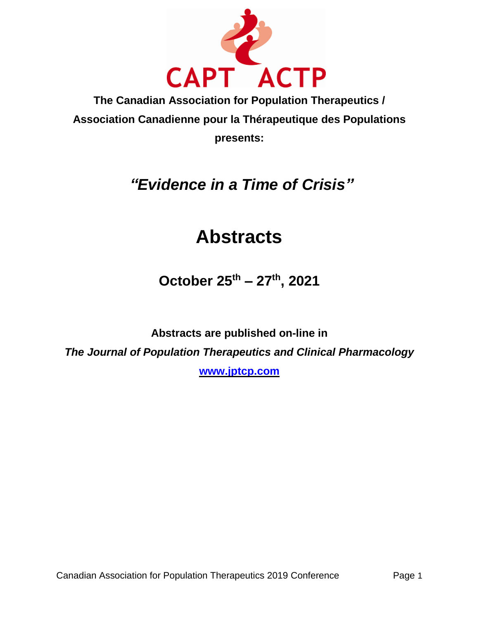

**The Canadian Association for Population Therapeutics / Association Canadienne pour la Thérapeutique des Populations presents:**

# *"Evidence in a Time of Crisis"*

# **Abstracts**

**October 25 th – 27 th , 2021**

**Abstracts are published on-line in** *The Journal of Population Therapeutics and Clinical Pharmacology*

**[www.jptcp.com](http://www.jptcp.com/)**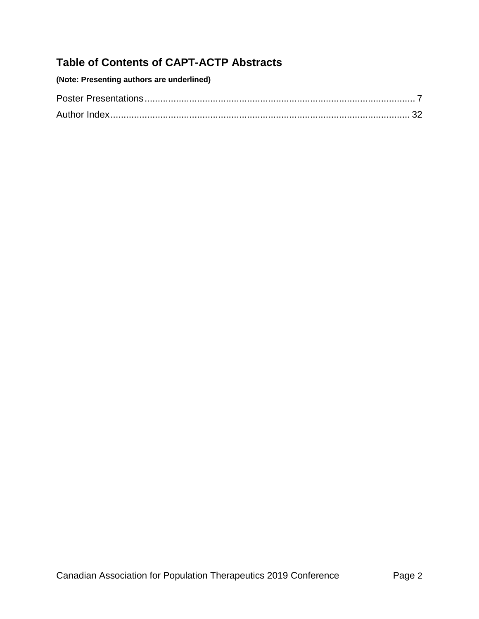# **Table of Contents of CAPT-ACTP Abstracts**

| (Note: Presenting authors are underlined) |  |
|-------------------------------------------|--|
|-------------------------------------------|--|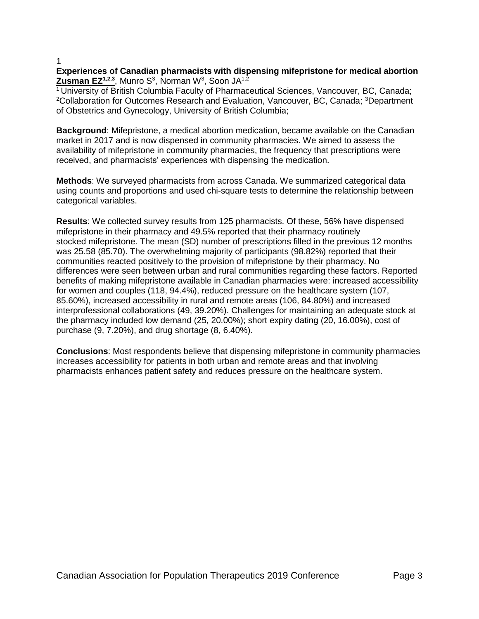# **Experiences of Canadian pharmacists with dispensing mifepristone for medical abortion Zusman EZ<sup>1,2,3</sup>, Munro S<sup>3</sup>, Norman W<sup>3</sup>, Soon JA<sup>1,2</sup>**

 $1$ University of British Columbia Faculty of Pharmaceutical Sciences, Vancouver, BC, Canada; <sup>2</sup>Collaboration for Outcomes Research and Evaluation, Vancouver, BC, Canada; <sup>3</sup>Department of Obstetrics and Gynecology, University of British Columbia;

**Background**: Mifepristone, a medical abortion medication, became available on the Canadian market in 2017 and is now dispensed in community pharmacies. We aimed to assess the availability of mifepristone in community pharmacies, the frequency that prescriptions were received, and pharmacists' experiences with dispensing the medication.

**Methods**: We surveyed pharmacists from across Canada. We summarized categorical data using counts and proportions and used chi-square tests to determine the relationship between categorical variables.

**Results**: We collected survey results from 125 pharmacists. Of these, 56% have dispensed mifepristone in their pharmacy and 49.5% reported that their pharmacy routinely stocked mifepristone. The mean (SD) number of prescriptions filled in the previous 12 months was 25.58 (85.70). The overwhelming majority of participants (98.82%) reported that their communities reacted positively to the provision of mifepristone by their pharmacy. No differences were seen between urban and rural communities regarding these factors. Reported benefits of making mifepristone available in Canadian pharmacies were: increased accessibility for women and couples (118, 94.4%), reduced pressure on the healthcare system (107, 85.60%), increased accessibility in rural and remote areas (106, 84.80%) and increased interprofessional collaborations (49, 39.20%). Challenges for maintaining an adequate stock at the pharmacy included low demand (25, 20.00%); short expiry dating (20, 16.00%), cost of purchase (9, 7.20%), and drug shortage (8, 6.40%).

**Conclusions**: Most respondents believe that dispensing mifepristone in community pharmacies increases accessibility for patients in both urban and remote areas and that involving pharmacists enhances patient safety and reduces pressure on the healthcare system.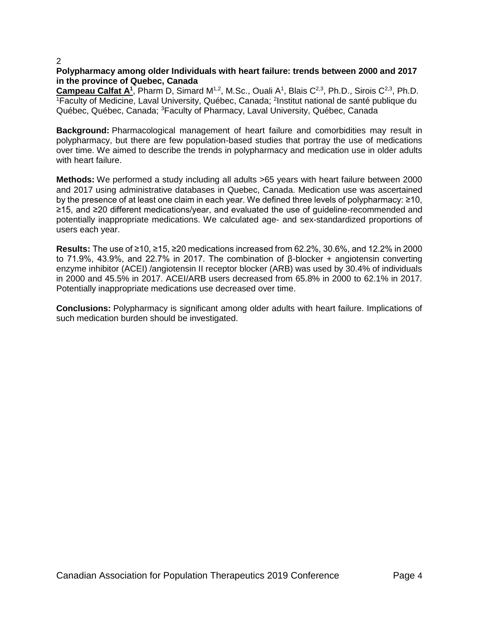# **Polypharmacy among older Individuals with heart failure: trends between 2000 and 2017 in the province of Quebec, Canada**

Campeau Calfat A<sup>1</sup>, Pharm D, Simard M<sup>1,2</sup>, M.Sc., Ouali A<sup>1</sup>, Blais C<sup>2,3</sup>, Ph.D., Sirois C<sup>2,3</sup>, Ph.D. <sup>1</sup> Faculty of Medicine, Laval University, Québec, Canada; <sup>2</sup>Institut national de santé publique du Québec, Québec, Canada; <sup>3</sup>Faculty of Pharmacy, Laval University, Québec, Canada

**Background:** Pharmacological management of heart failure and comorbidities may result in polypharmacy, but there are few population-based studies that portray the use of medications over time. We aimed to describe the trends in polypharmacy and medication use in older adults with heart failure.

**Methods:** We performed a study including all adults >65 years with heart failure between 2000 and 2017 using administrative databases in Quebec, Canada. Medication use was ascertained by the presence of at least one claim in each year. We defined three levels of polypharmacy: ≥10, ≥15, and ≥20 different medications/year, and evaluated the use of guideline-recommended and potentially inappropriate medications. We calculated age- and sex-standardized proportions of users each year.

**Results:** The use of ≥10, ≥15, ≥20 medications increased from 62.2%, 30.6%, and 12.2% in 2000 to 71.9%, 43.9%, and 22.7% in 2017. The combination of β-blocker + angiotensin converting enzyme inhibitor (ACEI) /angiotensin II receptor blocker (ARB) was used by 30.4% of individuals in 2000 and 45.5% in 2017. ACEI/ARB users decreased from 65.8% in 2000 to 62.1% in 2017. Potentially inappropriate medications use decreased over time.

**Conclusions:** Polypharmacy is significant among older adults with heart failure. Implications of such medication burden should be investigated.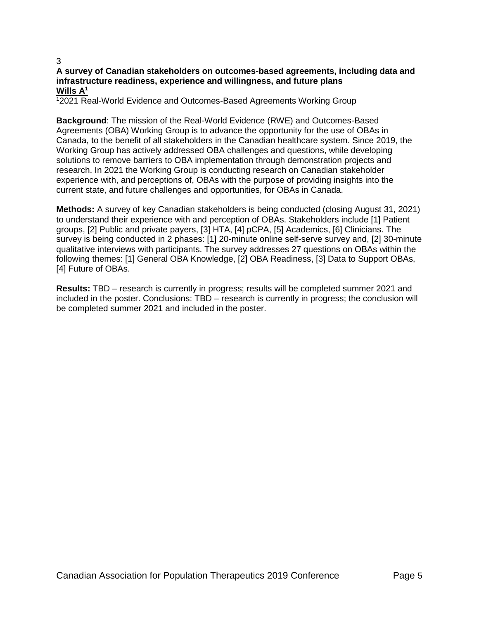# **A survey of Canadian stakeholders on outcomes-based agreements, including data and infrastructure readiness, experience and willingness, and future plans Wills A<sup>1</sup>**

<sup>1</sup>2021 Real-World Evidence and Outcomes-Based Agreements Working Group

**Background**: The mission of the Real-World Evidence (RWE) and Outcomes-Based Agreements (OBA) Working Group is to advance the opportunity for the use of OBAs in Canada, to the benefit of all stakeholders in the Canadian healthcare system. Since 2019, the Working Group has actively addressed OBA challenges and questions, while developing solutions to remove barriers to OBA implementation through demonstration projects and research. In 2021 the Working Group is conducting research on Canadian stakeholder experience with, and perceptions of, OBAs with the purpose of providing insights into the current state, and future challenges and opportunities, for OBAs in Canada.

**Methods:** A survey of key Canadian stakeholders is being conducted (closing August 31, 2021) to understand their experience with and perception of OBAs. Stakeholders include [1] Patient groups, [2] Public and private payers, [3] HTA, [4] pCPA, [5] Academics, [6] Clinicians. The survey is being conducted in 2 phases: [1] 20-minute online self-serve survey and, [2] 30-minute qualitative interviews with participants. The survey addresses 27 questions on OBAs within the following themes: [1] General OBA Knowledge, [2] OBA Readiness, [3] Data to Support OBAs, [4] Future of OBAs.

**Results:** TBD – research is currently in progress; results will be completed summer 2021 and included in the poster. Conclusions: TBD – research is currently in progress; the conclusion will be completed summer 2021 and included in the poster.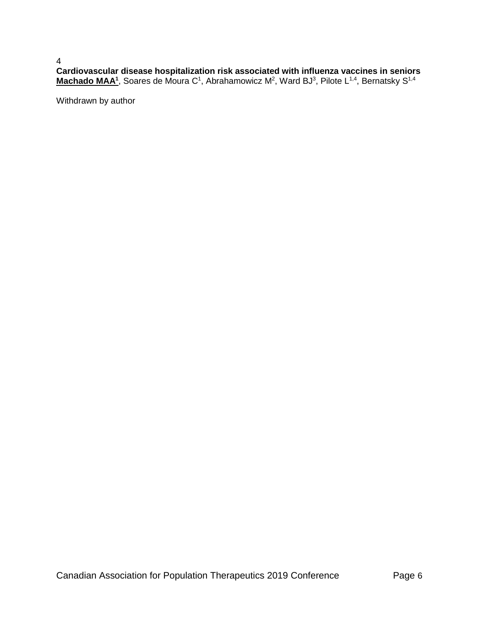4 **Cardiovascular disease hospitalization risk associated with influenza vaccines in seniors** Machado MAA<sup>1</sup>, Soares de Moura C<sup>1</sup>, Abrahamowicz M<sup>2</sup>, Ward BJ<sup>3</sup>, Pilote L<sup>1,4</sup>, Bernatsky S<sup>1,4</sup>

Withdrawn by author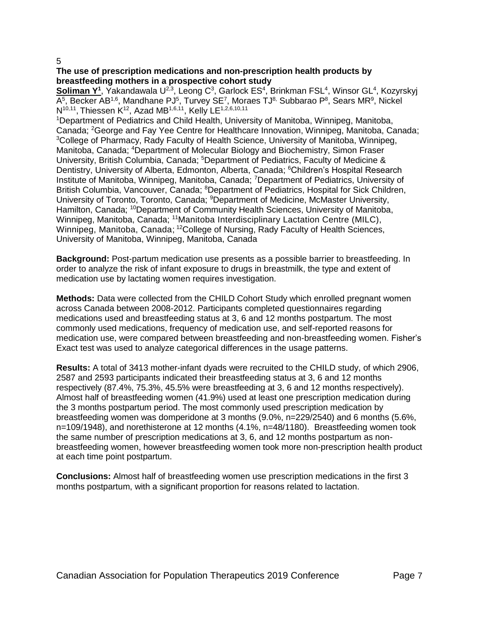# **The use of prescription medications and non-prescription health products by breastfeeding mothers in a prospective cohort study**

Soliman Y<sup>1</sup>, Yakandawala U<sup>2,3</sup>, Leong C<sup>3</sup>, Garlock ES<sup>4</sup>, Brinkman FSL<sup>4</sup>, Winsor GL<sup>4</sup>, Kozyrskyj A<sup>5</sup>, Becker AB<sup>1,6</sup>, Mandhane PJ<sup>5</sup>, Turvey SE<sup>7</sup>, Moraes TJ<sup>8,</sup> Subbarao P<sup>8</sup>, Sears MR<sup>9</sup>, Nickel  $N^{10,11}$ , Thiessen K<sup>12</sup>, Azad MB<sup>1,6,11</sup>, Kelly LE<sup>1,2,6,10,11</sup>

<sup>1</sup>Department of Pediatrics and Child Health, University of Manitoba, Winnipeg, Manitoba, Canada; <sup>2</sup>George and Fay Yee Centre for Healthcare Innovation, Winnipeg, Manitoba, Canada; <sup>3</sup>College of Pharmacy, Rady Faculty of Health Science, University of Manitoba, Winnipeg, Manitoba, Canada; <sup>4</sup>Department of Molecular Biology and Biochemistry, Simon Fraser University, British Columbia, Canada; <sup>5</sup>Department of Pediatrics, Faculty of Medicine & Dentistry, University of Alberta, Edmonton, Alberta, Canada; <sup>6</sup>Children's Hospital Research Institute of Manitoba, Winnipeg, Manitoba, Canada; <sup>7</sup>Department of Pediatrics, University of British Columbia, Vancouver, Canada; <sup>8</sup>Department of Pediatrics, Hospital for Sick Children, University of Toronto, Toronto, Canada; <sup>9</sup>Department of Medicine, McMaster University, Hamilton, Canada; <sup>10</sup>Department of Community Health Sciences, University of Manitoba, Winnipeg, Manitoba, Canada; <sup>11</sup>Manitoba Interdisciplinary Lactation Centre (MILC), Winnipeg, Manitoba, Canada; <sup>12</sup>College of Nursing, Rady Faculty of Health Sciences, University of Manitoba, Winnipeg, Manitoba, Canada

**Background:** Post-partum medication use presents as a possible barrier to breastfeeding. In order to analyze the risk of infant exposure to drugs in breastmilk, the type and extent of medication use by lactating women requires investigation.

**Methods:** Data were collected from the CHILD Cohort Study which enrolled pregnant women across Canada between 2008-2012. Participants completed questionnaires regarding medications used and breastfeeding status at 3, 6 and 12 months postpartum. The most commonly used medications, frequency of medication use, and self-reported reasons for medication use, were compared between breastfeeding and non-breastfeeding women. Fisher's Exact test was used to analyze categorical differences in the usage patterns.

**Results:** A total of 3413 mother-infant dyads were recruited to the CHILD study, of which 2906, 2587 and 2593 participants indicated their breastfeeding status at 3, 6 and 12 months respectively (87.4%, 75.3%, 45.5% were breastfeeding at 3, 6 and 12 months respectively). Almost half of breastfeeding women (41.9%) used at least one prescription medication during the 3 months postpartum period. The most commonly used prescription medication by breastfeeding women was domperidone at 3 months (9.0%, n=229/2540) and 6 months (5.6%, n=109/1948), and norethisterone at 12 months (4.1%, n=48/1180). Breastfeeding women took the same number of prescription medications at 3, 6, and 12 months postpartum as nonbreastfeeding women, however breastfeeding women took more non-prescription health product at each time point postpartum.

**Conclusions:** Almost half of breastfeeding women use prescription medications in the first 3 months postpartum, with a significant proportion for reasons related to lactation.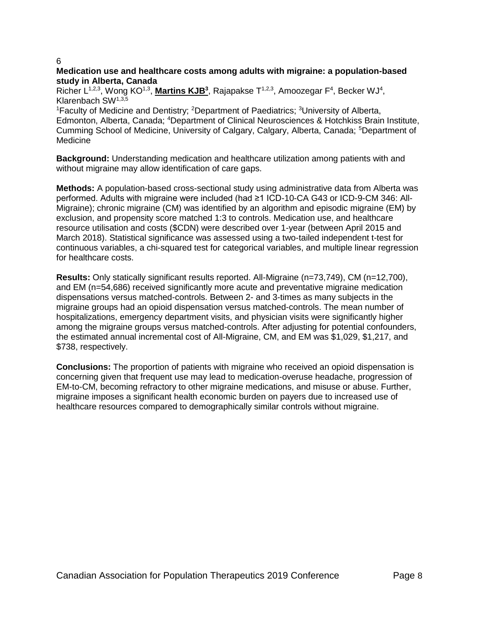# **Medication use and healthcare costs among adults with migraine: a population-based study in Alberta, Canada**

Richer L<sup>1,2,3</sup>, Wong KO<sup>1,3</sup>, Martins KJB<sup>3</sup>, Rajapakse T<sup>1,2,3</sup>, Amoozegar F<sup>4</sup>, Becker WJ<sup>4</sup>, Klarenbach SW1,3,5

<sup>1</sup>Faculty of Medicine and Dentistry; <sup>2</sup>Department of Paediatrics; <sup>3</sup>University of Alberta, Edmonton, Alberta, Canada; <sup>4</sup>Department of Clinical Neurosciences & Hotchkiss Brain Institute, Cumming School of Medicine, University of Calgary, Calgary, Alberta, Canada; <sup>5</sup>Department of Medicine

**Background:** Understanding medication and healthcare utilization among patients with and without migraine may allow identification of care gaps.

**Methods:** A population-based cross-sectional study using administrative data from Alberta was performed. Adults with migraine were included (had ≥1 ICD-10-CA G43 or ICD-9-CM 346: All-Migraine); chronic migraine (CM) was identified by an algorithm and episodic migraine (EM) by exclusion, and propensity score matched 1:3 to controls. Medication use, and healthcare resource utilisation and costs (\$CDN) were described over 1-year (between April 2015 and March 2018). Statistical significance was assessed using a two-tailed independent t-test for continuous variables, a chi-squared test for categorical variables, and multiple linear regression for healthcare costs.

**Results:** Only statically significant results reported. All-Migraine (n=73,749), CM (n=12,700), and EM (n=54,686) received significantly more acute and preventative migraine medication dispensations versus matched-controls. Between 2- and 3-times as many subjects in the migraine groups had an opioid dispensation versus matched-controls. The mean number of hospitalizations, emergency department visits, and physician visits were significantly higher among the migraine groups versus matched-controls. After adjusting for potential confounders, the estimated annual incremental cost of All-Migraine, CM, and EM was \$1,029, \$1,217, and \$738, respectively.

**Conclusions:** The proportion of patients with migraine who received an opioid dispensation is concerning given that frequent use may lead to medication-overuse headache, progression of EM-to-CM, becoming refractory to other migraine medications, and misuse or abuse. Further, migraine imposes a significant health economic burden on payers due to increased use of healthcare resources compared to demographically similar controls without migraine.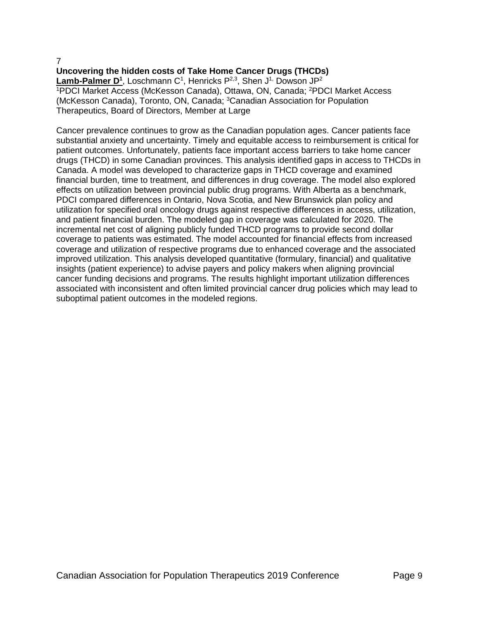# **Uncovering the hidden costs of Take Home Cancer Drugs (THCDs)**

Lamb-Palmer D<sup>1</sup>, Loschmann C<sup>1</sup>, Henricks P<sup>2,3</sup>, Shen J<sup>1,</sup> Dowson JP<sup>2</sup> <sup>1</sup>PDCI Market Access (McKesson Canada), Ottawa, ON, Canada; <sup>2</sup>PDCI Market Access (McKesson Canada), Toronto, ON, Canada; <sup>3</sup>Canadian Association for Population Therapeutics, Board of Directors, Member at Large

Cancer prevalence continues to grow as the Canadian population ages. Cancer patients face substantial anxiety and uncertainty. Timely and equitable access to reimbursement is critical for patient outcomes. Unfortunately, patients face important access barriers to take home cancer drugs (THCD) in some Canadian provinces. This analysis identified gaps in access to THCDs in Canada. A model was developed to characterize gaps in THCD coverage and examined financial burden, time to treatment, and differences in drug coverage. The model also explored effects on utilization between provincial public drug programs. With Alberta as a benchmark, PDCI compared differences in Ontario, Nova Scotia, and New Brunswick plan policy and utilization for specified oral oncology drugs against respective differences in access, utilization, and patient financial burden. The modeled gap in coverage was calculated for 2020. The incremental net cost of aligning publicly funded THCD programs to provide second dollar coverage to patients was estimated. The model accounted for financial effects from increased coverage and utilization of respective programs due to enhanced coverage and the associated improved utilization. This analysis developed quantitative (formulary, financial) and qualitative insights (patient experience) to advise payers and policy makers when aligning provincial cancer funding decisions and programs. The results highlight important utilization differences associated with inconsistent and often limited provincial cancer drug policies which may lead to suboptimal patient outcomes in the modeled regions.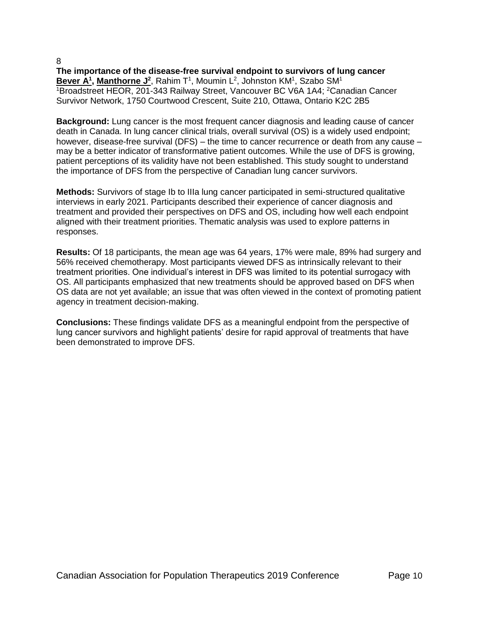**The importance of the disease-free survival endpoint to survivors of lung cancer** Bever A<sup>1</sup>, Manthorne J<sup>2</sup>, Rahim T<sup>1</sup>, Moumin L<sup>2</sup>, Johnston KM<sup>1</sup>, Szabo SM<sup>1</sup> <sup>1</sup>Broadstreet HEOR, 201-343 Railway Street, Vancouver BC V6A 1A4; <sup>2</sup>Canadian Cancer Survivor Network, 1750 Courtwood Crescent, Suite 210, Ottawa, Ontario K2C 2B5

**Background:** Lung cancer is the most frequent cancer diagnosis and leading cause of cancer death in Canada. In lung cancer clinical trials, overall survival (OS) is a widely used endpoint; however, disease-free survival (DFS) – the time to cancer recurrence or death from any cause – may be a better indicator of transformative patient outcomes. While the use of DFS is growing, patient perceptions of its validity have not been established. This study sought to understand the importance of DFS from the perspective of Canadian lung cancer survivors.

**Methods:** Survivors of stage Ib to IIIa lung cancer participated in semi-structured qualitative interviews in early 2021. Participants described their experience of cancer diagnosis and treatment and provided their perspectives on DFS and OS, including how well each endpoint aligned with their treatment priorities. Thematic analysis was used to explore patterns in responses.

**Results:** Of 18 participants, the mean age was 64 years, 17% were male, 89% had surgery and 56% received chemotherapy. Most participants viewed DFS as intrinsically relevant to their treatment priorities. One individual's interest in DFS was limited to its potential surrogacy with OS. All participants emphasized that new treatments should be approved based on DFS when OS data are not yet available; an issue that was often viewed in the context of promoting patient agency in treatment decision-making.

**Conclusions:** These findings validate DFS as a meaningful endpoint from the perspective of lung cancer survivors and highlight patients' desire for rapid approval of treatments that have been demonstrated to improve DFS.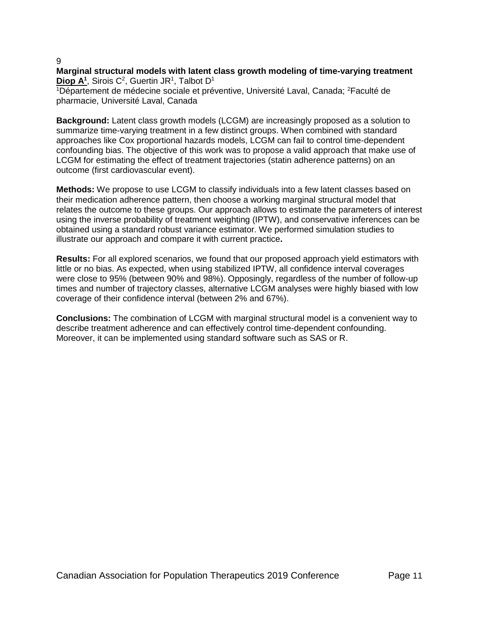# **Marginal structural models with latent class growth modeling of time-varying treatment** Diop A<sup>1</sup>, Sirois C<sup>2</sup>, Guertin JR<sup>1</sup>, Talbot D<sup>1</sup>

<sup>1</sup>Département de médecine sociale et préventive, Université Laval, Canada; <sup>2</sup>Faculté de pharmacie, Université Laval, Canada

**Background:** Latent class growth models (LCGM) are increasingly proposed as a solution to summarize time-varying treatment in a few distinct groups. When combined with standard approaches like Cox proportional hazards models, LCGM can fail to control time-dependent confounding bias. The objective of this work was to propose a valid approach that make use of LCGM for estimating the effect of treatment trajectories (statin adherence patterns) on an outcome (first cardiovascular event).

**Methods:** We propose to use LCGM to classify individuals into a few latent classes based on their medication adherence pattern, then choose a working marginal structural model that relates the outcome to these groups. Our approach allows to estimate the parameters of interest using the inverse probability of treatment weighting (IPTW), and conservative inferences can be obtained using a standard robust variance estimator. We performed simulation studies to illustrate our approach and compare it with current practice**.**

**Results:** For all explored scenarios, we found that our proposed approach yield estimators with little or no bias. As expected, when using stabilized IPTW, all confidence interval coverages were close to 95% (between 90% and 98%). Opposingly, regardless of the number of follow-up times and number of trajectory classes, alternative LCGM analyses were highly biased with low coverage of their confidence interval (between 2% and 67%).

**Conclusions:** The combination of LCGM with marginal structural model is a convenient way to describe treatment adherence and can effectively control time-dependent confounding. Moreover, it can be implemented using standard software such as SAS or R.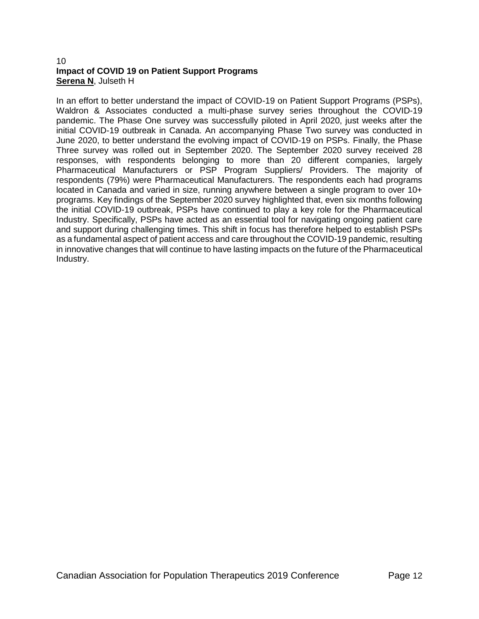# 10 **Impact of COVID 19 on Patient Support Programs Serena N**, Julseth H

In an effort to better understand the impact of COVID-19 on Patient Support Programs (PSPs), Waldron & Associates conducted a multi-phase survey series throughout the COVID-19 pandemic. The Phase One survey was successfully piloted in April 2020, just weeks after the initial COVID-19 outbreak in Canada. An accompanying Phase Two survey was conducted in June 2020, to better understand the evolving impact of COVID-19 on PSPs. Finally, the Phase Three survey was rolled out in September 2020. The September 2020 survey received 28 responses, with respondents belonging to more than 20 different companies, largely Pharmaceutical Manufacturers or PSP Program Suppliers/ Providers. The majority of respondents (79%) were Pharmaceutical Manufacturers. The respondents each had programs located in Canada and varied in size, running anywhere between a single program to over 10+ programs. Key findings of the September 2020 survey highlighted that, even six months following the initial COVID-19 outbreak, PSPs have continued to play a key role for the Pharmaceutical Industry. Specifically, PSPs have acted as an essential tool for navigating ongoing patient care and support during challenging times. This shift in focus has therefore helped to establish PSPs as a fundamental aspect of patient access and care throughout the COVID-19 pandemic, resulting in innovative changes that will continue to have lasting impacts on the future of the Pharmaceutical Industry.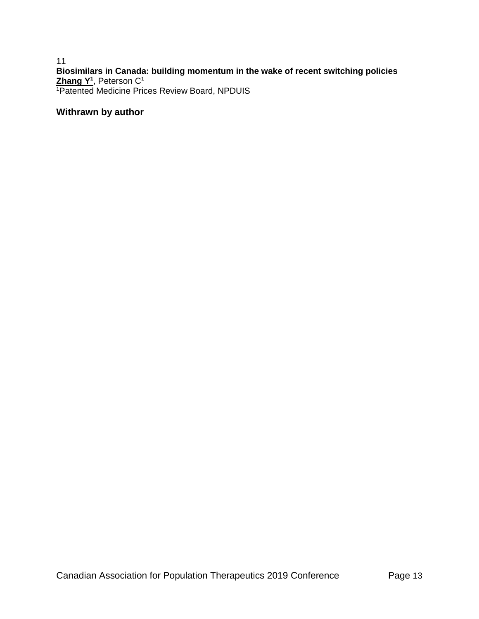11 **Biosimilars in Canada: building momentum in the wake of recent switching policies Zhang Y<sup>1</sup>** , Peterson C<sup>1</sup> <sup>1</sup>Patented Medicine Prices Review Board, NPDUIS

# **Withrawn by author**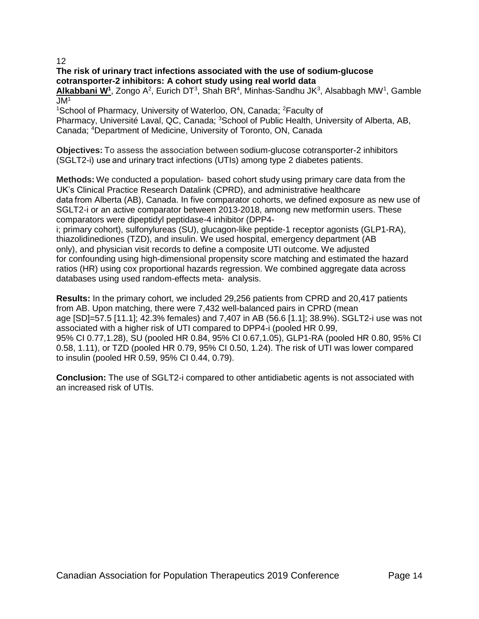# **The risk of urinary tract infections associated with the use of sodium-glucose cotransporter-2 inhibitors: A cohort study using real world data**

Alkabbani W<sup>1</sup>, Zongo A<sup>2</sup>, Eurich DT<sup>3</sup>, Shah BR<sup>4</sup>, Minhas-Sandhu JK<sup>3</sup>, Alsabbagh MW<sup>1</sup>, Gamble  $JM<sup>1</sup>$ 

<sup>1</sup>School of Pharmacy, University of Waterloo, ON, Canada; <sup>2</sup>Faculty of Pharmacy, Université Laval, QC, Canada; <sup>3</sup>School of Public Health, University of Alberta, AB, Canada; <sup>4</sup>Department of Medicine, University of Toronto, ON, Canada

**Objectives:** To assess the association between sodium-glucose cotransporter-2 inhibitors (SGLT2-i) use and urinary tract infections (UTIs) among type 2 diabetes patients.

**Methods:** We conducted a population‐ based cohort study using primary care data from the UK's Clinical Practice Research Datalink (CPRD), and administrative healthcare data from Alberta (AB), Canada. In five comparator cohorts, we defined exposure as new use of SGLT2-i or an active comparator between 2013-2018, among new metformin users. These comparators were dipeptidyl peptidase-4 inhibitor (DPP4-

i; primary cohort), sulfonylureas (SU), glucagon-like peptide-1 receptor agonists (GLP1-RA), thiazolidinediones (TZD), and insulin. We used hospital, emergency department (AB only), and physician visit records to define a composite UTI outcome. We adjusted for confounding using high-dimensional propensity score matching and estimated the hazard ratios (HR) using cox proportional hazards regression. We combined aggregate data across databases using used random-effects meta‐ analysis.

**Results:** In the primary cohort, we included 29,256 patients from CPRD and 20,417 patients from AB. Upon matching, there were 7,432 well-balanced pairs in CPRD (mean age [SD]=57.5 [11.1]; 42.3% females) and 7,407 in AB (56.6 [1.1]; 38.9%). SGLT2-i use was not associated with a higher risk of UTI compared to DPP4-i (pooled HR 0.99, 95% CI 0.77,1.28), SU (pooled HR 0.84, 95% CI 0.67,1.05), GLP1-RA (pooled HR 0.80, 95% CI 0.58, 1.11), or TZD (pooled HR 0.79, 95% CI 0.50, 1.24). The risk of UTI was lower compared to insulin (pooled HR 0.59, 95% CI 0.44, 0.79).

**Conclusion:** The use of SGLT2-i compared to other antidiabetic agents is not associated with an increased risk of UTIs.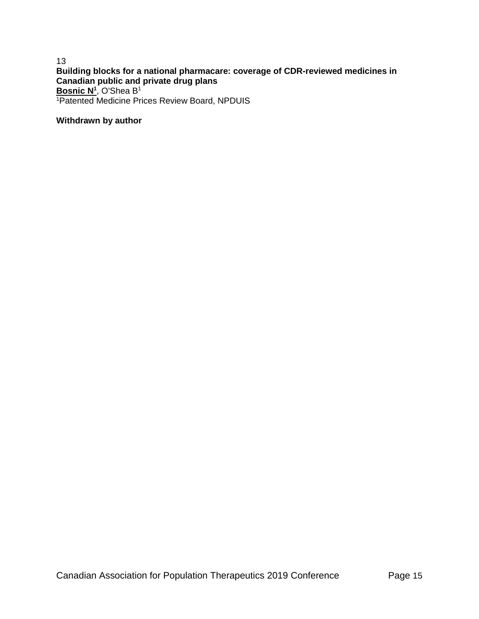# 13 **Building blocks for a national pharmacare: coverage of CDR-reviewed medicines in Canadian public and private drug plans Bosnic N<sup>1</sup>** , O'Shea B<sup>1</sup> <sup>1</sup>Patented Medicine Prices Review Board, NPDUIS

# **Withdrawn by author**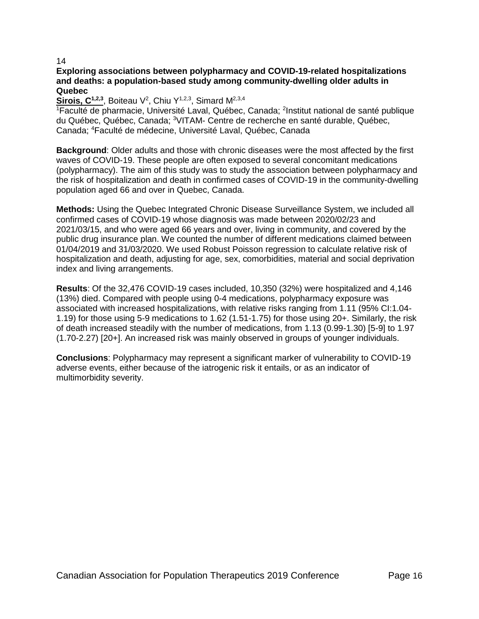# **Exploring associations between polypharmacy and COVID-19-related hospitalizations and deaths: a population-based study among community-dwelling older adults in Quebec**

Sirois, C<sup>1,2,3</sup>, Boiteau V<sup>2</sup>, Chiu Y<sup>1,2,3</sup>, Simard M<sup>2,3,4</sup>

<sup>1</sup>Faculté de pharmacie, Université Laval, Québec, Canada; <sup>2</sup>Institut national de santé publique du Québec, Québec, Canada; <sup>3</sup>VITAM- Centre de recherche en santé durable, Québec, Canada; <sup>4</sup>Faculté de médecine, Université Laval, Québec, Canada

**Background**: Older adults and those with chronic diseases were the most affected by the first waves of COVID-19. These people are often exposed to several concomitant medications (polypharmacy). The aim of this study was to study the association between polypharmacy and the risk of hospitalization and death in confirmed cases of COVID-19 in the community-dwelling population aged 66 and over in Quebec, Canada.

**Methods:** Using the Quebec Integrated Chronic Disease Surveillance System, we included all confirmed cases of COVID-19 whose diagnosis was made between 2020/02/23 and 2021/03/15, and who were aged 66 years and over, living in community, and covered by the public drug insurance plan. We counted the number of different medications claimed between 01/04/2019 and 31/03/2020. We used Robust Poisson regression to calculate relative risk of hospitalization and death, adjusting for age, sex, comorbidities, material and social deprivation index and living arrangements.

**Results**: Of the 32,476 COVID-19 cases included, 10,350 (32%) were hospitalized and 4,146 (13%) died. Compared with people using 0-4 medications, polypharmacy exposure was associated with increased hospitalizations, with relative risks ranging from 1.11 (95% CI:1.04- 1.19) for those using 5-9 medications to 1.62 (1.51-1.75) for those using 20+. Similarly, the risk of death increased steadily with the number of medications, from 1.13 (0.99-1.30) [5-9] to 1.97 (1.70-2.27) [20+]. An increased risk was mainly observed in groups of younger individuals.

**Conclusions**: Polypharmacy may represent a significant marker of vulnerability to COVID-19 adverse events, either because of the iatrogenic risk it entails, or as an indicator of multimorbidity severity.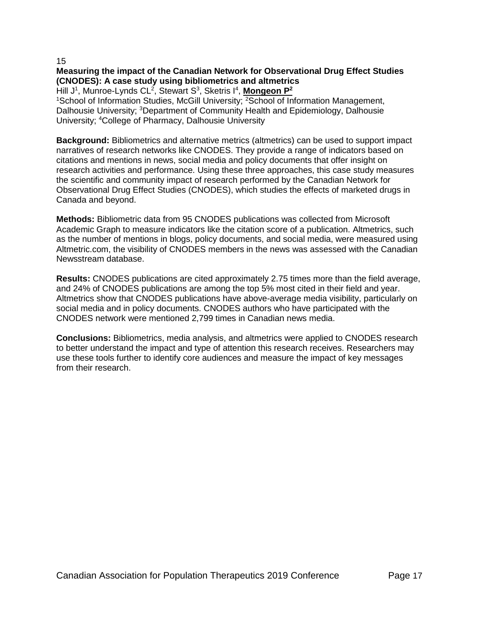# **Measuring the impact of the Canadian Network for Observational Drug Effect Studies (CNODES): A case study using bibliometrics and altmetrics**

Hill J<sup>1</sup>, Munroe-Lynds CL<sup>2</sup>, Stewart S<sup>3</sup>, Sketris I<sup>4</sup>, **Mongeon P**<sup>2</sup>

<sup>1</sup>School of Information Studies, McGill University; <sup>2</sup>School of Information Management, Dalhousie University; <sup>3</sup>Department of Community Health and Epidemiology, Dalhousie University; <sup>4</sup>College of Pharmacy, Dalhousie University

**Background:** Bibliometrics and alternative metrics (altmetrics) can be used to support impact narratives of research networks like CNODES. They provide a range of indicators based on citations and mentions in news, social media and policy documents that offer insight on research activities and performance. Using these three approaches, this case study measures the scientific and community impact of research performed by the Canadian Network for Observational Drug Effect Studies (CNODES), which studies the effects of marketed drugs in Canada and beyond.

**Methods:** Bibliometric data from 95 CNODES publications was collected from Microsoft Academic Graph to measure indicators like the citation score of a publication. Altmetrics, such as the number of mentions in blogs, policy documents, and social media, were measured using Altmetric.com, the visibility of CNODES members in the news was assessed with the Canadian Newsstream database.

**Results:** CNODES publications are cited approximately 2.75 times more than the field average, and 24% of CNODES publications are among the top 5% most cited in their field and year. Altmetrics show that CNODES publications have above-average media visibility, particularly on social media and in policy documents. CNODES authors who have participated with the CNODES network were mentioned 2,799 times in Canadian news media.

**Conclusions:** Bibliometrics, media analysis, and altmetrics were applied to CNODES research to better understand the impact and type of attention this research receives. Researchers may use these tools further to identify core audiences and measure the impact of key messages from their research.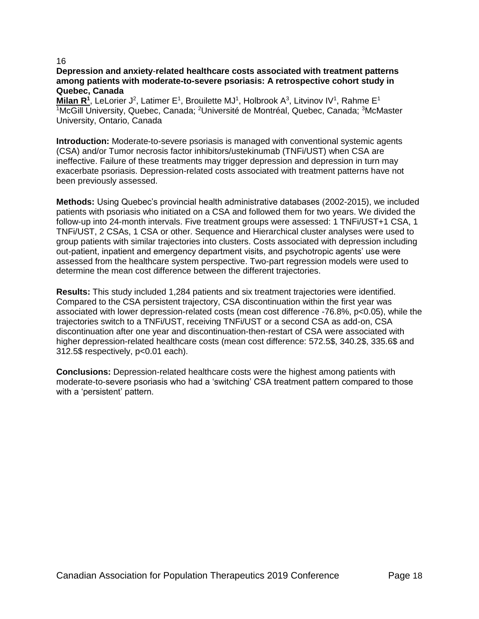# **Depression and anxiety**-**related healthcare costs associated with treatment patterns among patients with moderate-to-severe psoriasis: A retrospective cohort study in Quebec, Canada**

Milan R<sup>1</sup>, LeLorier J<sup>2</sup>, Latimer E<sup>1</sup>, Brouilette MJ<sup>1</sup>, Holbrook A<sup>3</sup>, Litvinov IV<sup>1</sup>, Rahme E<sup>1</sup> <sup>1</sup>McGill University, Quebec, Canada; <sup>2</sup>Université de Montréal, Quebec, Canada; <sup>3</sup>McMaster University, Ontario, Canada

**Introduction:** Moderate-to-severe psoriasis is managed with conventional systemic agents (CSA) and/or Tumor necrosis factor inhibitors/ustekinumab (TNFi/UST) when CSA are ineffective. Failure of these treatments may trigger depression and depression in turn may exacerbate psoriasis. Depression-related costs associated with treatment patterns have not been previously assessed.

**Methods:** Using Quebec's provincial health administrative databases (2002-2015), we included patients with psoriasis who initiated on a CSA and followed them for two years. We divided the follow-up into 24-month intervals. Five treatment groups were assessed: 1 TNFi/UST+1 CSA, 1 TNFi/UST, 2 CSAs, 1 CSA or other. Sequence and Hierarchical cluster analyses were used to group patients with similar trajectories into clusters. Costs associated with depression including out-patient, inpatient and emergency department visits, and psychotropic agents' use were assessed from the healthcare system perspective. Two-part regression models were used to determine the mean cost difference between the different trajectories.

**Results:** This study included 1,284 patients and six treatment trajectories were identified. Compared to the CSA persistent trajectory, CSA discontinuation within the first year was associated with lower depression-related costs (mean cost difference -76.8%, p<0.05), while the trajectories switch to a TNFi/UST, receiving TNFi/UST or a second CSA as add-on, CSA discontinuation after one year and discontinuation-then-restart of CSA were associated with higher depression-related healthcare costs (mean cost difference: 572.5\$, 340.2\$, 335.6\$ and 312.5\$ respectively, p<0.01 each).

**Conclusions:** Depression-related healthcare costs were the highest among patients with moderate-to-severe psoriasis who had a 'switching' CSA treatment pattern compared to those with a 'persistent' pattern.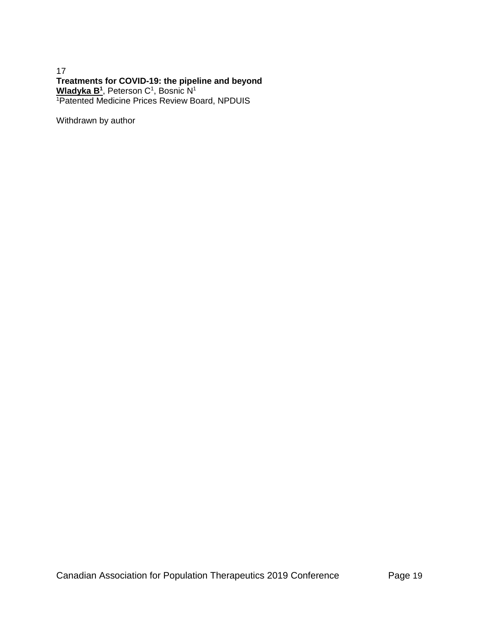# 17 **Treatments for COVID-19: the pipeline and beyond Wladyka B<sup>1</sup>** , Peterson C<sup>1</sup> , Bosnic N<sup>1</sup> <sup>1</sup>Patented Medicine Prices Review Board, NPDUIS

Withdrawn by author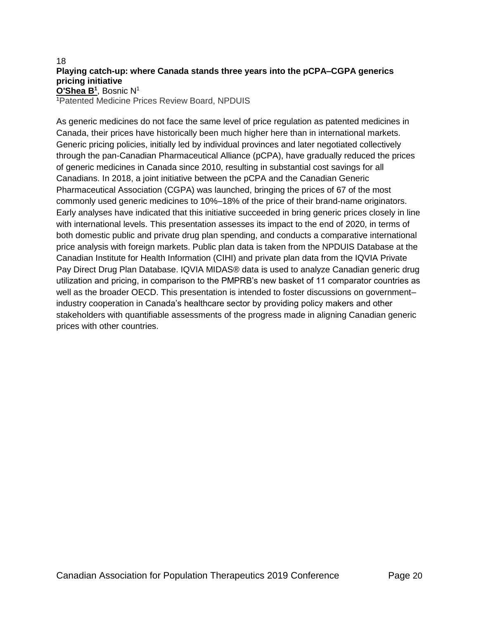# 18 **Playing catch-up: where Canada stands three years into the pCPA–CGPA generics pricing initiative O'Shea B<sup>1</sup>** , Bosnic N<sup>1</sup>

<sup>1</sup>Patented Medicine Prices Review Board, NPDUIS

As generic medicines do not face the same level of price regulation as patented medicines in Canada, their prices have historically been much higher here than in international markets. Generic pricing policies, initially led by individual provinces and later negotiated collectively through the pan-Canadian Pharmaceutical Alliance (pCPA), have gradually reduced the prices of generic medicines in Canada since 2010, resulting in substantial cost savings for all Canadians. In 2018, a joint initiative between the pCPA and the Canadian Generic Pharmaceutical Association (CGPA) was launched, bringing the prices of 67 of the most commonly used generic medicines to 10%–18% of the price of their brand-name originators. Early analyses have indicated that this initiative succeeded in bring generic prices closely in line with international levels. This presentation assesses its impact to the end of 2020, in terms of both domestic public and private drug plan spending, and conducts a comparative international price analysis with foreign markets. Public plan data is taken from the NPDUIS Database at the Canadian Institute for Health Information (CIHI) and private plan data from the IQVIA Private Pay Direct Drug Plan Database. IQVIA MIDAS® data is used to analyze Canadian generic drug utilization and pricing, in comparison to the PMPRB's new basket of 11 comparator countries as well as the broader OECD. This presentation is intended to foster discussions on government– industry cooperation in Canada's healthcare sector by providing policy makers and other stakeholders with quantifiable assessments of the progress made in aligning Canadian generic prices with other countries.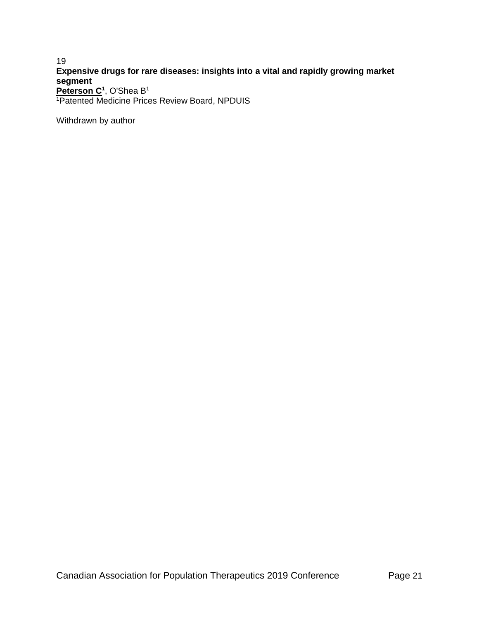# 19 **Expensive drugs for rare diseases: insights into a vital and rapidly growing market segment Peterson C<sup>1</sup>** , O'Shea B<sup>1</sup>

<sup>1</sup>Patented Medicine Prices Review Board, NPDUIS

Withdrawn by author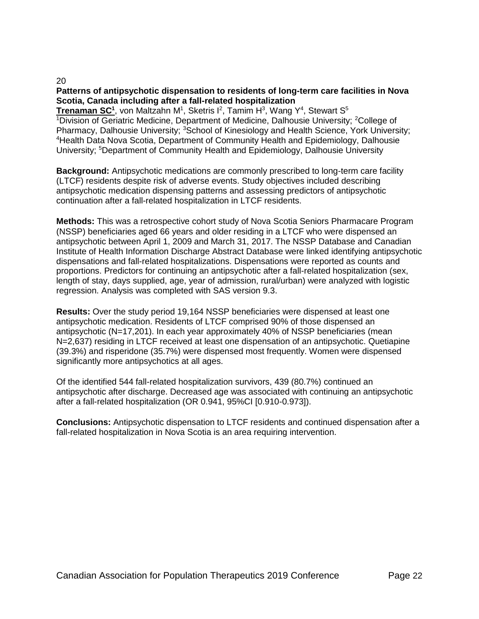# **Patterns of antipsychotic dispensation to residents of long-term care facilities in Nova Scotia, Canada including after a fall-related hospitalization**

20

Trenaman SC<sup>1</sup>, von Maltzahn M<sup>1</sup>, Sketris I<sup>2</sup>, Tamim H<sup>3</sup>, Wang Y<sup>4</sup>, Stewart S<sup>5</sup> <sup>1</sup>Division of Geriatric Medicine, Department of Medicine, Dalhousie University; <sup>2</sup>College of Pharmacy, Dalhousie University; <sup>3</sup>School of Kinesiology and Health Science, York University; <sup>4</sup>Health Data Nova Scotia, Department of Community Health and Epidemiology, Dalhousie University; <sup>5</sup>Department of Community Health and Epidemiology, Dalhousie University

**Background:** Antipsychotic medications are commonly prescribed to long-term care facility (LTCF) residents despite risk of adverse events. Study objectives included describing antipsychotic medication dispensing patterns and assessing predictors of antipsychotic continuation after a fall-related hospitalization in LTCF residents.

**Methods:** This was a retrospective cohort study of Nova Scotia Seniors Pharmacare Program (NSSP) beneficiaries aged 66 years and older residing in a LTCF who were dispensed an antipsychotic between April 1, 2009 and March 31, 2017. The NSSP Database and Canadian Institute of Health Information Discharge Abstract Database were linked identifying antipsychotic dispensations and fall-related hospitalizations. Dispensations were reported as counts and proportions. Predictors for continuing an antipsychotic after a fall-related hospitalization (sex, length of stay, days supplied, age, year of admission, rural/urban) were analyzed with logistic regression. Analysis was completed with SAS version 9.3.

**Results:** Over the study period 19,164 NSSP beneficiaries were dispensed at least one antipsychotic medication. Residents of LTCF comprised 90% of those dispensed an antipsychotic (N=17,201). In each year approximately 40% of NSSP beneficiaries (mean N=2,637) residing in LTCF received at least one dispensation of an antipsychotic. Quetiapine (39.3%) and risperidone (35.7%) were dispensed most frequently. Women were dispensed significantly more antipsychotics at all ages.

Of the identified 544 fall-related hospitalization survivors, 439 (80.7%) continued an antipsychotic after discharge. Decreased age was associated with continuing an antipsychotic after a fall-related hospitalization (OR 0.941, 95%CI [0.910-0.973]).

**Conclusions:** Antipsychotic dispensation to LTCF residents and continued dispensation after a fall-related hospitalization in Nova Scotia is an area requiring intervention.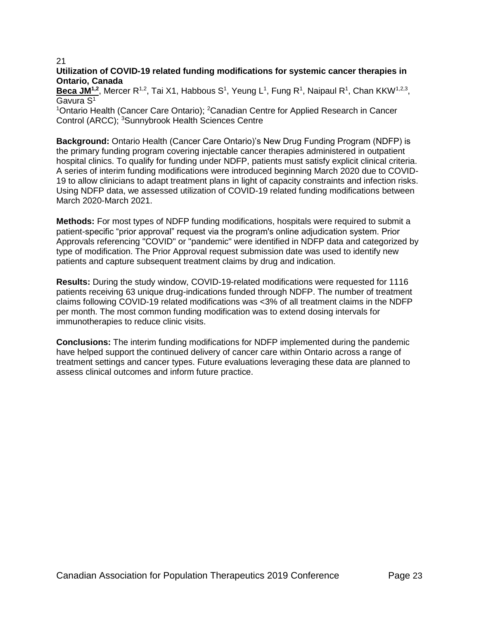#### 21 **Utilization of COVID-19 related funding modifications for systemic cancer therapies in Ontario, Canada**

Beca JM<sup>1,2</sup>, Mercer R<sup>1,2</sup>, Tai X1, Habbous S<sup>1</sup>, Yeung L<sup>1</sup>, Fung R<sup>1</sup>, Naipaul R<sup>1</sup>, Chan KKW<sup>1,2,3</sup>, Gavura S<sup>1</sup>

<sup>1</sup>Ontario Health (Cancer Care Ontario); <sup>2</sup>Canadian Centre for Applied Research in Cancer Control (ARCC); <sup>3</sup>Sunnybrook Health Sciences Centre

**Background:** Ontario Health (Cancer Care Ontario)'s New Drug Funding Program (NDFP) is the primary funding program covering injectable cancer therapies administered in outpatient hospital clinics. To qualify for funding under NDFP, patients must satisfy explicit clinical criteria. A series of interim funding modifications were introduced beginning March 2020 due to COVID-19 to allow clinicians to adapt treatment plans in light of capacity constraints and infection risks. Using NDFP data, we assessed utilization of COVID-19 related funding modifications between March 2020-March 2021.

**Methods:** For most types of NDFP funding modifications, hospitals were required to submit a patient-specific "prior approval" request via the program's online adjudication system. Prior Approvals referencing "COVID" or "pandemic" were identified in NDFP data and categorized by type of modification. The Prior Approval request submission date was used to identify new patients and capture subsequent treatment claims by drug and indication.

**Results:** During the study window, COVID-19-related modifications were requested for 1116 patients receiving 63 unique drug-indications funded through NDFP. The number of treatment claims following COVID-19 related modifications was <3% of all treatment claims in the NDFP per month. The most common funding modification was to extend dosing intervals for immunotherapies to reduce clinic visits.

**Conclusions:** The interim funding modifications for NDFP implemented during the pandemic have helped support the continued delivery of cancer care within Ontario across a range of treatment settings and cancer types. Future evaluations leveraging these data are planned to assess clinical outcomes and inform future practice.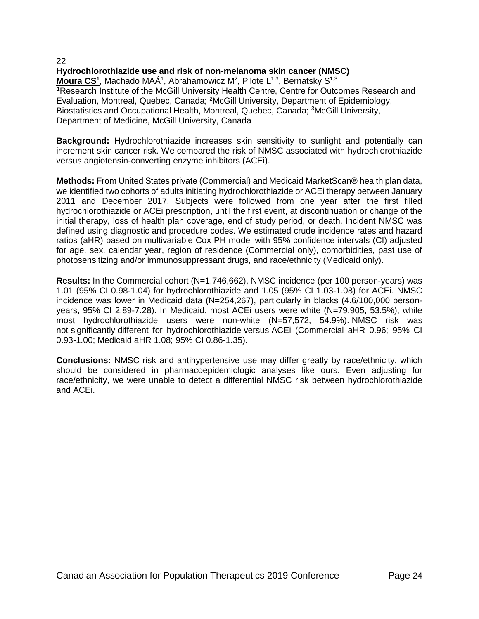**Hydrochlorothiazide use and risk of non-melanoma skin cancer (NMSC) Moura CS<sup>1</sup>, Machado MAÁ<sup>1</sup>, Abrahamowicz M<sup>2</sup>, Pilote L<sup>1,3</sup>, Bernatsky S<sup>1,3</sup>** <sup>1</sup>Research Institute of the McGill University Health Centre, Centre for Outcomes Research and Evaluation, Montreal, Quebec, Canada; <sup>2</sup>McGill University, Department of Epidemiology, Biostatistics and Occupational Health, Montreal, Quebec, Canada; <sup>3</sup>McGill University, Department of Medicine, McGill University, Canada

**Background:** Hydrochlorothiazide increases skin sensitivity to sunlight and potentially can increment skin cancer risk. We compared the risk of NMSC associated with hydrochlorothiazide versus angiotensin-converting enzyme inhibitors (ACEi).

**Methods:** From United States private (Commercial) and Medicaid MarketScan® health plan data, we identified two cohorts of adults initiating hydrochlorothiazide or ACEi therapy between January 2011 and December 2017. Subjects were followed from one year after the first filled hydrochlorothiazide or ACEi prescription, until the first event, at discontinuation or change of the initial therapy, loss of health plan coverage, end of study period, or death. Incident NMSC was defined using diagnostic and procedure codes. We estimated crude incidence rates and hazard ratios (aHR) based on multivariable Cox PH model with 95% confidence intervals (CI) adjusted for age, sex, calendar year, region of residence (Commercial only), comorbidities, past use of photosensitizing and/or immunosuppressant drugs, and race/ethnicity (Medicaid only).

**Results:** In the Commercial cohort (N=1,746,662), NMSC incidence (per 100 person-years) was 1.01 (95% CI 0.98-1.04) for hydrochlorothiazide and 1.05 (95% CI 1.03-1.08) for ACEi. NMSC incidence was lower in Medicaid data (N=254,267), particularly in blacks (4.6/100,000 personyears, 95% CI 2.89-7.28). In Medicaid, most ACEi users were white (N=79,905, 53.5%), while most hydrochlorothiazide users were non-white (N=57,572, 54.9%). NMSC risk was not significantly different for hydrochlorothiazide versus ACEi (Commercial aHR 0.96; 95% CI 0.93-1.00; Medicaid aHR 1.08; 95% CI 0.86-1.35).

**Conclusions:** NMSC risk and antihypertensive use may differ greatly by race/ethnicity, which should be considered in pharmacoepidemiologic analyses like ours. Even adjusting for race/ethnicity, we were unable to detect a differential NMSC risk between hydrochlorothiazide and ACEi.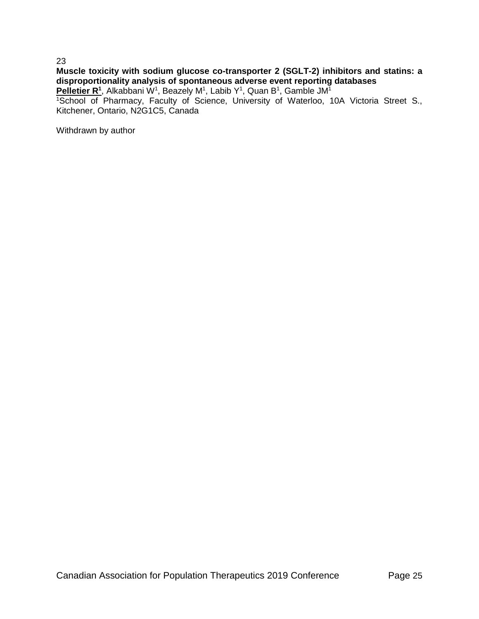# **Muscle toxicity with sodium glucose co-transporter 2 (SGLT-2) inhibitors and statins: a disproportionality analysis of spontaneous adverse event reporting databases**

Pelletier R<sup>1</sup>, Alkabbani W<sup>1</sup>, Beazely M<sup>1</sup>, Labib Y<sup>1</sup>, Quan B<sup>1</sup>, Gamble JM<sup>1</sup>

<sup>1</sup>School of Pharmacy, Faculty of Science, University of Waterloo, 10A Victoria Street S., Kitchener, Ontario, N2G1C5, Canada

Withdrawn by author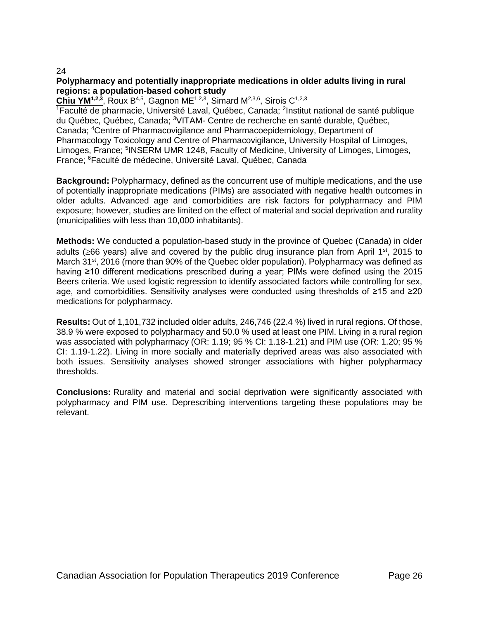# **Polypharmacy and potentially inappropriate medications in older adults living in rural regions: a population-based cohort study**

Chiu YM<sup>1,2,3</sup>, Roux B<sup>4,5</sup>, Gagnon ME<sup>1,2,3</sup>, Simard M<sup>2,3,6</sup>, Sirois C<sup>1,2,3</sup>

<sup>1</sup>Faculté de pharmacie, Université Laval, Québec, Canada; <sup>2</sup>Institut national de santé publique du Québec, Québec, Canada; <sup>3</sup>VITAM- Centre de recherche en santé durable, Québec, Canada; <sup>4</sup>Centre of Pharmacovigilance and Pharmacoepidemiology, Department of Pharmacology Toxicology and Centre of Pharmacovigilance, University Hospital of Limoges, Limoges, France; <sup>5</sup>INSERM UMR 1248, Faculty of Medicine, University of Limoges, Limoges, France; <sup>6</sup>Faculté de médecine, Université Laval, Québec, Canada

**Background:** Polypharmacy, defined as the concurrent use of multiple medications, and the use of potentially inappropriate medications (PIMs) are associated with negative health outcomes in older adults. Advanced age and comorbidities are risk factors for polypharmacy and PIM exposure; however, studies are limited on the effect of material and social deprivation and rurality (municipalities with less than 10,000 inhabitants).

**Methods:** We conducted a population-based study in the province of Quebec (Canada) in older adults ( $\geq$ 66 years) alive and covered by the public drug insurance plan from April 1<sup>st</sup>, 2015 to March 31<sup>st</sup>, 2016 (more than 90% of the Quebec older population). Polypharmacy was defined as having ≥10 different medications prescribed during a year; PIMs were defined using the 2015 Beers criteria. We used logistic regression to identify associated factors while controlling for sex, age, and comorbidities. Sensitivity analyses were conducted using thresholds of ≥15 and ≥20 medications for polypharmacy.

**Results:** Out of 1,101,732 included older adults, 246,746 (22.4 %) lived in rural regions. Of those, 38.9 % were exposed to polypharmacy and 50.0 % used at least one PIM. Living in a rural region was associated with polypharmacy (OR: 1.19; 95 % CI: 1.18-1.21) and PIM use (OR: 1.20; 95 % CI: 1.19-1.22). Living in more socially and materially deprived areas was also associated with both issues. Sensitivity analyses showed stronger associations with higher polypharmacy thresholds.

**Conclusions:** Rurality and material and social deprivation were significantly associated with polypharmacy and PIM use. Deprescribing interventions targeting these populations may be relevant.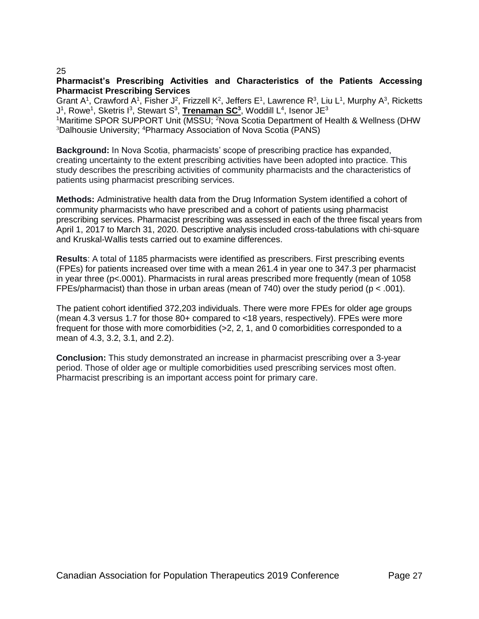# **Pharmacist's Prescribing Activities and Characteristics of the Patients Accessing Pharmacist Prescribing Services**

Grant A<sup>1</sup>, Crawford A<sup>1</sup>, Fisher J<sup>2</sup>, Frizzell K<sup>2</sup>, Jeffers E<sup>1</sup>, Lawrence R<sup>3</sup>, Liu L<sup>1</sup>, Murphy A<sup>3</sup>, Ricketts J<sup>1</sup>, Rowe<sup>1</sup>, Sketris I<sup>3</sup>, Stewart S<sup>3</sup>, Trenaman SC<sup>3</sup>, Woddill L<sup>4</sup>, Isenor JE<sup>3</sup>

<sup>1</sup>Maritime SPOR SUPPORT Unit (MSSU; <sup>2</sup>Nova Scotia Department of Health & Wellness (DHW <sup>3</sup>Dalhousie University; <sup>4</sup>Pharmacy Association of Nova Scotia (PANS)

**Background:** In Nova Scotia, pharmacists' scope of prescribing practice has expanded, creating uncertainty to the extent prescribing activities have been adopted into practice. This study describes the prescribing activities of community pharmacists and the characteristics of patients using pharmacist prescribing services.

**Methods:** Administrative health data from the Drug Information System identified a cohort of community pharmacists who have prescribed and a cohort of patients using pharmacist prescribing services. Pharmacist prescribing was assessed in each of the three fiscal years from April 1, 2017 to March 31, 2020. Descriptive analysis included cross-tabulations with chi-square and Kruskal-Wallis tests carried out to examine differences.

**Results**: A total of 1185 pharmacists were identified as prescribers. First prescribing events (FPEs) for patients increased over time with a mean 261.4 in year one to 347.3 per pharmacist in year three (p<.0001). Pharmacists in rural areas prescribed more frequently (mean of 1058 FPEs/pharmacist) than those in urban areas (mean of 740) over the study period ( $p < .001$ ).

The patient cohort identified 372,203 individuals. There were more FPEs for older age groups (mean 4.3 versus 1.7 for those 80+ compared to <18 years, respectively). FPEs were more frequent for those with more comorbidities (>2, 2, 1, and 0 comorbidities corresponded to a mean of 4.3, 3.2, 3.1, and 2.2).

**Conclusion:** This study demonstrated an increase in pharmacist prescribing over a 3-year period. Those of older age or multiple comorbidities used prescribing services most often. Pharmacist prescribing is an important access point for primary care.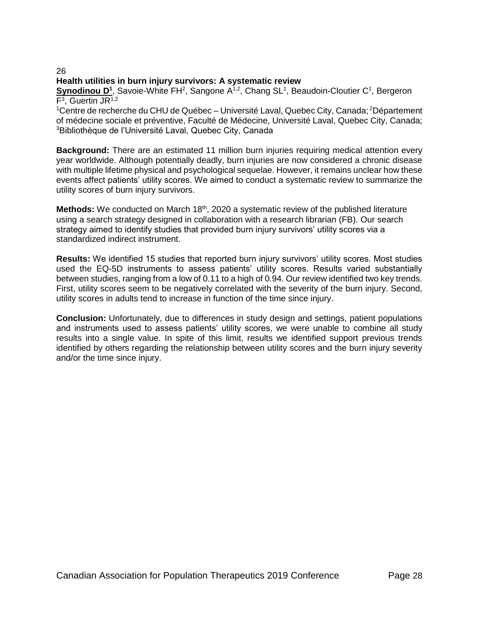# **Health utilities in burn injury survivors: A systematic review**

Synodinou D<sup>1</sup>, Savoie-White FH<sup>2</sup>, Sangone A<sup>1,2</sup>, Chang SL<sup>1</sup>, Beaudoin-Cloutier C<sup>1</sup>, Bergeron F<sup>3</sup>, Guertin JR<sup>1,2</sup>

<sup>1</sup>Centre de recherche du CHU de Québec – Université Laval, Quebec City, Canada; <sup>2</sup>Département of médecine sociale et préventive, Faculté de Médecine, Université Laval, Quebec City, Canada; <sup>3</sup>Bibliothèque de l'Université Laval, Quebec City, Canada

**Background:** There are an estimated 11 million burn injuries requiring medical attention every year worldwide. Although potentially deadly, burn injuries are now considered a chronic disease with multiple lifetime physical and psychological sequelae. However, it remains unclear how these events affect patients' utility scores. We aimed to conduct a systematic review to summarize the utility scores of burn injury survivors.

**Methods:** We conducted on March 18<sup>th</sup>, 2020 a systematic review of the published literature using a search strategy designed in collaboration with a research librarian (FB). Our search strategy aimed to identify studies that provided burn injury survivors' utility scores via a standardized indirect instrument.

**Results:** We identified 15 studies that reported burn injury survivors' utility scores. Most studies used the EQ-5D instruments to assess patients' utility scores. Results varied substantially between studies, ranging from a low of 0.11 to a high of 0.94. Our review identified two key trends. First, utility scores seem to be negatively correlated with the severity of the burn injury. Second, utility scores in adults tend to increase in function of the time since injury.

**Conclusion:** Unfortunately, due to differences in study design and settings, patient populations and instruments used to assess patients' utility scores, we were unable to combine all study results into a single value. In spite of this limit, results we identified support previous trends identified by others regarding the relationship between utility scores and the burn injury severity and/or the time since injury.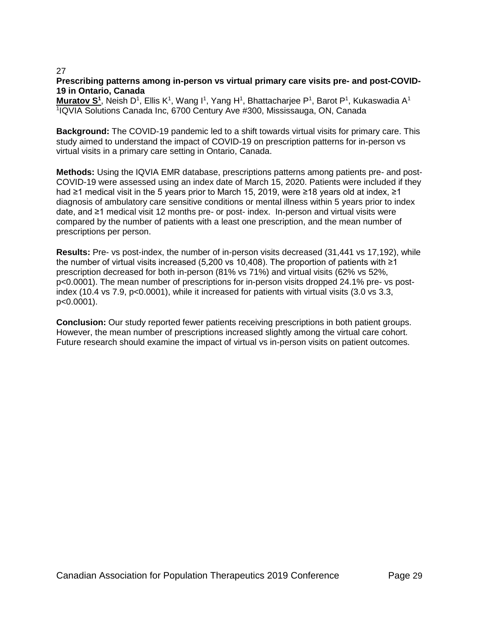# **Prescribing patterns among in-person vs virtual primary care visits pre- and post-COVID-19 in Ontario, Canada**

**Muratov S<sup>1</sup>, Neish D<sup>1</sup>, Ellis K<sup>1</sup>, Wang I<sup>1</sup>, Yang H<sup>1</sup>, Bhattacharjee P<sup>1</sup>, Barot P<sup>1</sup>, Kukaswadia A<sup>1</sup>** 1 IQVIA Solutions Canada Inc, 6700 Century Ave #300, Mississauga, ON, Canada

**Background:** The COVID-19 pandemic led to a shift towards virtual visits for primary care. This study aimed to understand the impact of COVID-19 on prescription patterns for in-person vs virtual visits in a primary care setting in Ontario, Canada.

**Methods:** Using the IQVIA EMR database, prescriptions patterns among patients pre- and post-COVID-19 were assessed using an index date of March 15, 2020. Patients were included if they had ≥1 medical visit in the 5 years prior to March 15, 2019, were ≥18 years old at index, ≥1 diagnosis of ambulatory care sensitive conditions or mental illness within 5 years prior to index date, and ≥1 medical visit 12 months pre- or post- index. In-person and virtual visits were compared by the number of patients with a least one prescription, and the mean number of prescriptions per person.

**Results:** Pre- vs post-index, the number of in-person visits decreased (31,441 vs 17,192), while the number of virtual visits increased (5,200 vs 10,408). The proportion of patients with ≥1 prescription decreased for both in-person (81% vs 71%) and virtual visits (62% vs 52%, p<0.0001). The mean number of prescriptions for in-person visits dropped 24.1% pre- vs postindex (10.4 vs 7.9, p<0.0001), while it increased for patients with virtual visits (3.0 vs 3.3, p<0.0001).

**Conclusion:** Our study reported fewer patients receiving prescriptions in both patient groups. However, the mean number of prescriptions increased slightly among the virtual care cohort. Future research should examine the impact of virtual vs in-person visits on patient outcomes.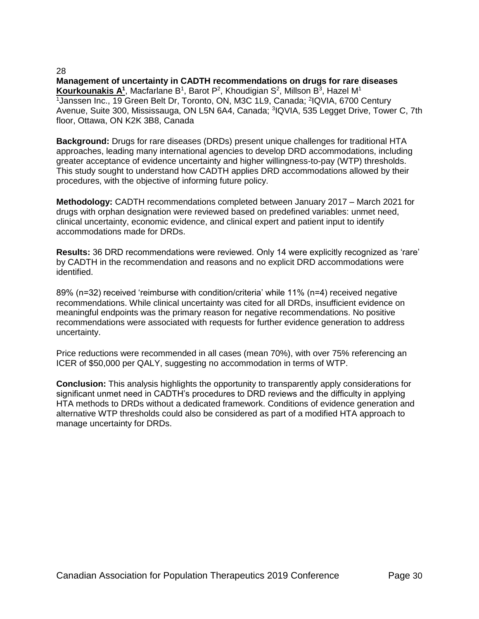**Management of uncertainty in CADTH recommendations on drugs for rare diseases** Kourkounakis A<sup>1</sup>, Macfarlane B<sup>1</sup>, Barot P<sup>2</sup>, Khoudigian S<sup>2</sup>, Millson B<sup>3</sup>, Hazel M<sup>1</sup> <sup>1</sup> Janssen Inc., 19 Green Belt Dr, Toronto, ON, M3C 1L9, Canada; <sup>2</sup>IQVIA, 6700 Century Avenue, Suite 300, Mississauga, ON L5N 6A4, Canada; <sup>3</sup>IQVIA, 535 Legget Drive, Tower C, 7th floor, Ottawa, ON K2K 3B8, Canada

**Background:** Drugs for rare diseases (DRDs) present unique challenges for traditional HTA approaches, leading many international agencies to develop DRD accommodations, including greater acceptance of evidence uncertainty and higher willingness-to-pay (WTP) thresholds. This study sought to understand how CADTH applies DRD accommodations allowed by their procedures, with the objective of informing future policy.

**Methodology:** CADTH recommendations completed between January 2017 – March 2021 for drugs with orphan designation were reviewed based on predefined variables: unmet need, clinical uncertainty, economic evidence, and clinical expert and patient input to identify accommodations made for DRDs.

**Results:** 36 DRD recommendations were reviewed. Only 14 were explicitly recognized as 'rare' by CADTH in the recommendation and reasons and no explicit DRD accommodations were identified.

89% (n=32) received 'reimburse with condition/criteria' while 11% (n=4) received negative recommendations. While clinical uncertainty was cited for all DRDs, insufficient evidence on meaningful endpoints was the primary reason for negative recommendations. No positive recommendations were associated with requests for further evidence generation to address uncertainty.

Price reductions were recommended in all cases (mean 70%), with over 75% referencing an ICER of \$50,000 per QALY, suggesting no accommodation in terms of WTP.

**Conclusion:** This analysis highlights the opportunity to transparently apply considerations for significant unmet need in CADTH's procedures to DRD reviews and the difficulty in applying HTA methods to DRDs without a dedicated framework. Conditions of evidence generation and alternative WTP thresholds could also be considered as part of a modified HTA approach to manage uncertainty for DRDs.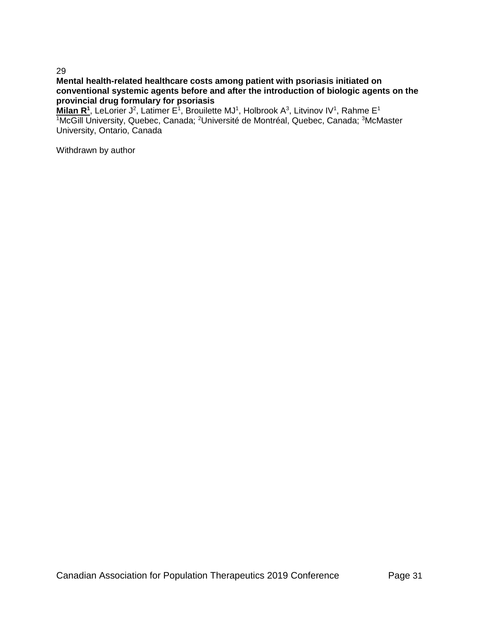# **Mental health-related healthcare costs among patient with psoriasis initiated on conventional systemic agents before and after the introduction of biologic agents on the provincial drug formulary for psoriasis**

Milan R<sup>1</sup>, LeLorier J<sup>2</sup>, Latimer E<sup>1</sup>, Brouilette MJ<sup>1</sup>, Holbrook A<sup>3</sup>, Litvinov IV<sup>1</sup>, Rahme E<sup>1</sup> 1McGill University, Quebec, Canada; <sup>2</sup>Université de Montréal, Quebec, Canada; <sup>3</sup>McMaster University, Ontario, Canada

Withdrawn by author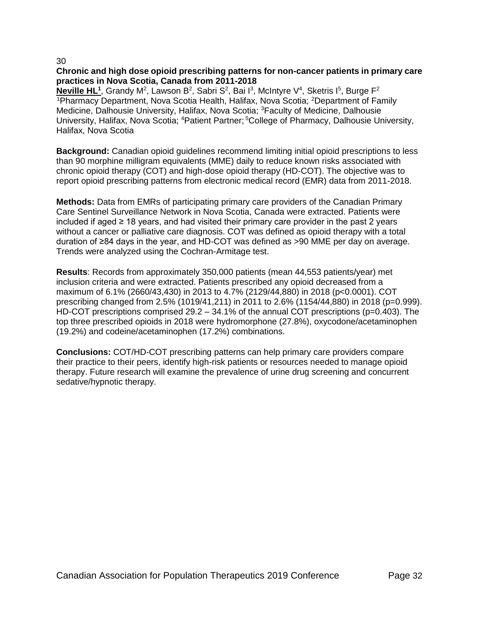# **Chronic and high dose opioid prescribing patterns for non-cancer patients in primary care practices in Nova Scotia, Canada from 2011-2018**

**Neville HL<sup>1</sup>, Grandy M<sup>2</sup>, Lawson B<sup>2</sup>, Sabri S<sup>2</sup>, Bai I<sup>3</sup>, McIntyre V<sup>4</sup>, Sketris I<sup>5</sup>, Burge F<sup>2</sup>** <sup>1</sup>Pharmacy Department, Nova Scotia Health, Halifax, Nova Scotia; <sup>2</sup>Department of Family Medicine, Dalhousie University, Halifax, Nova Scotia; <sup>3</sup>Faculty of Medicine, Dalhousie University, Halifax, Nova Scotia; <sup>4</sup>Patient Partner; <sup>5</sup>College of Pharmacy, Dalhousie University, Halifax, Nova Scotia

**Background:** Canadian opioid guidelines recommend limiting initial opioid prescriptions to less than 90 morphine milligram equivalents (MME) daily to reduce known risks associated with chronic opioid therapy (COT) and high-dose opioid therapy (HD-COT). The objective was to report opioid prescribing patterns from electronic medical record (EMR) data from 2011-2018.

**Methods:** Data from EMRs of participating primary care providers of the Canadian Primary Care Sentinel Surveillance Network in Nova Scotia, Canada were extracted. Patients were included if aged  $\geq 18$  years, and had visited their primary care provider in the past 2 years without a cancer or palliative care diagnosis. COT was defined as opioid therapy with a total duration of ≥84 days in the year, and HD-COT was defined as >90 MME per day on average. Trends were analyzed using the Cochran-Armitage test.

**Results**: Records from approximately 350,000 patients (mean 44,553 patients/year) met inclusion criteria and were extracted. Patients prescribed any opioid decreased from a maximum of 6.1% (2660/43,430) in 2013 to 4.7% (2129/44,880) in 2018 (p<0.0001). COT prescribing changed from 2.5% (1019/41,211) in 2011 to 2.6% (1154/44,880) in 2018 (p=0.999). HD-COT prescriptions comprised 29.2 – 34.1% of the annual COT prescriptions (p=0.403). The top three prescribed opioids in 2018 were hydromorphone (27.8%), oxycodone/acetaminophen (19.2%) and codeine/acetaminophen (17.2%) combinations.

**Conclusions:** COT/HD-COT prescribing patterns can help primary care providers compare their practice to their peers, identify high-risk patients or resources needed to manage opioid therapy. Future research will examine the prevalence of urine drug screening and concurrent sedative/hypnotic therapy.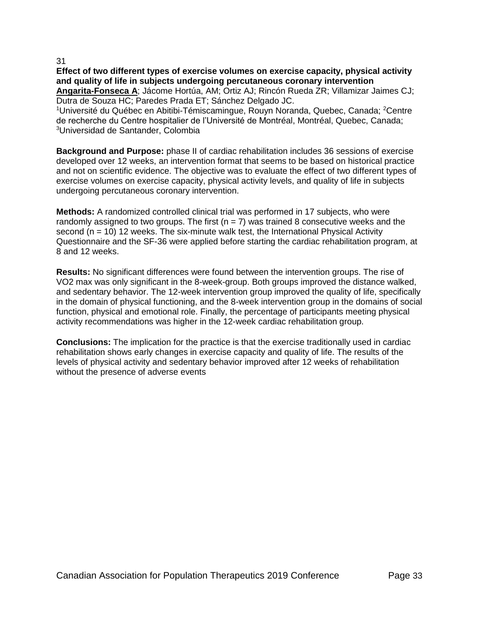**Effect of two different types of exercise volumes on exercise capacity, physical activity and quality of life in subjects undergoing percutaneous coronary intervention**

**Angarita-Fonseca A**; Jácome Hortúa, AM; Ortiz AJ; Rincón Rueda ZR; Villamizar Jaimes CJ; Dutra de Souza HC; Paredes Prada ET; Sánchez Delgado JC.

<sup>1</sup>Université du Québec en Abitibi-Témiscamingue, Rouyn Noranda, Quebec, Canada; <sup>2</sup>Centre de recherche du Centre hospitalier de l'Université de Montréal, Montréal, Quebec, Canada; <sup>3</sup>Universidad de Santander, Colombia

**Background and Purpose:** phase II of cardiac rehabilitation includes 36 sessions of exercise developed over 12 weeks, an intervention format that seems to be based on historical practice and not on scientific evidence. The objective was to evaluate the effect of two different types of exercise volumes on exercise capacity, physical activity levels, and quality of life in subjects undergoing percutaneous coronary intervention.

**Methods:** A randomized controlled clinical trial was performed in 17 subjects, who were randomly assigned to two groups. The first  $(n = 7)$  was trained 8 consecutive weeks and the second ( $n = 10$ ) 12 weeks. The six-minute walk test, the International Physical Activity Questionnaire and the SF-36 were applied before starting the cardiac rehabilitation program, at 8 and 12 weeks.

**Results:** No significant differences were found between the intervention groups. The rise of VO2 max was only significant in the 8-week-group. Both groups improved the distance walked, and sedentary behavior. The 12-week intervention group improved the quality of life, specifically in the domain of physical functioning, and the 8-week intervention group in the domains of social function, physical and emotional role. Finally, the percentage of participants meeting physical activity recommendations was higher in the 12-week cardiac rehabilitation group.

**Conclusions:** The implication for the practice is that the exercise traditionally used in cardiac rehabilitation shows early changes in exercise capacity and quality of life. The results of the levels of physical activity and sedentary behavior improved after 12 weeks of rehabilitation without the presence of adverse events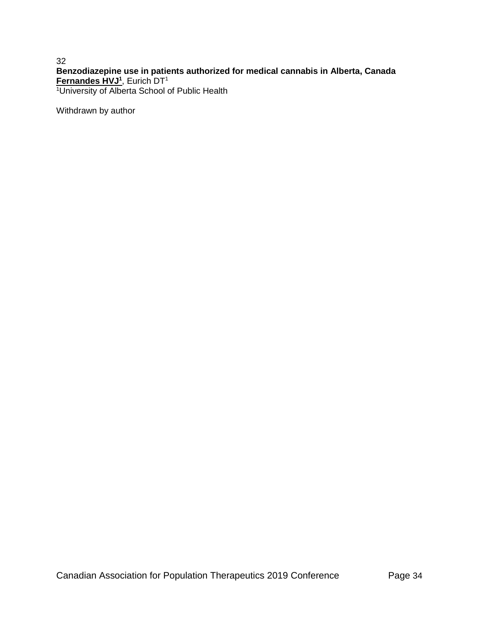32 **Benzodiazepine use in patients authorized for medical cannabis in Alberta, Canada Fernandes HVJ<sup>1</sup>** , Eurich DT<sup>1</sup> <sup>1</sup>University of Alberta School of Public Health

Withdrawn by author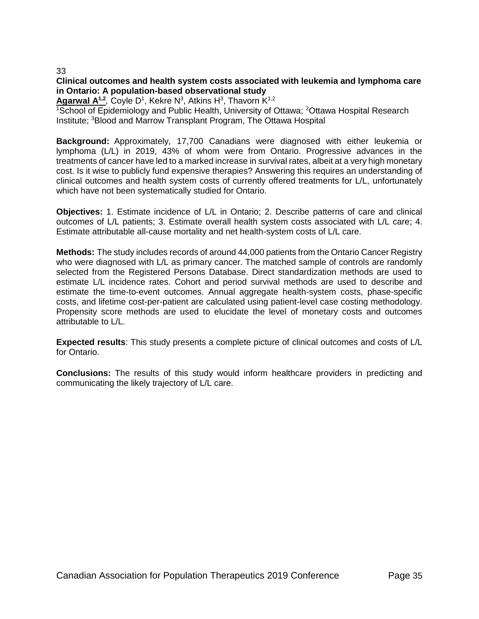# **Clinical outcomes and health system costs associated with leukemia and lymphoma care in Ontario: A population-based observational study**

**Agarwal A<sup>1,2</sup>, Coyle D<sup>1</sup>, Kekre N<sup>3</sup>, Atkins H<sup>3</sup>, Thavorn K<sup>1,2</sup>** 

<sup>1</sup>School of Epidemiology and Public Health, University of Ottawa; <sup>2</sup>Ottawa Hospital Research Institute; <sup>3</sup>Blood and Marrow Transplant Program, The Ottawa Hospital

**Background:** Approximately, 17,700 Canadians were diagnosed with either leukemia or lymphoma (L/L) in 2019, 43% of whom were from Ontario. Progressive advances in the treatments of cancer have led to a marked increase in survival rates, albeit at a very high monetary cost. Is it wise to publicly fund expensive therapies? Answering this requires an understanding of clinical outcomes and health system costs of currently offered treatments for L/L, unfortunately which have not been systematically studied for Ontario.

**Objectives:** 1. Estimate incidence of L/L in Ontario; 2. Describe patterns of care and clinical outcomes of L/L patients; 3. Estimate overall health system costs associated with L/L care; 4. Estimate attributable all-cause mortality and net health-system costs of L/L care.

**Methods:** The study includes records of around 44,000 patients from the Ontario Cancer Registry who were diagnosed with L/L as primary cancer. The matched sample of controls are randomly selected from the Registered Persons Database. Direct standardization methods are used to estimate L/L incidence rates. Cohort and period survival methods are used to describe and estimate the time-to-event outcomes. Annual aggregate health-system costs, phase-specific costs, and lifetime cost-per-patient are calculated using patient-level case costing methodology. Propensity score methods are used to elucidate the level of monetary costs and outcomes attributable to L/L.

**Expected results**: This study presents a complete picture of clinical outcomes and costs of L/L for Ontario.

**Conclusions:** The results of this study would inform healthcare providers in predicting and communicating the likely trajectory of L/L care.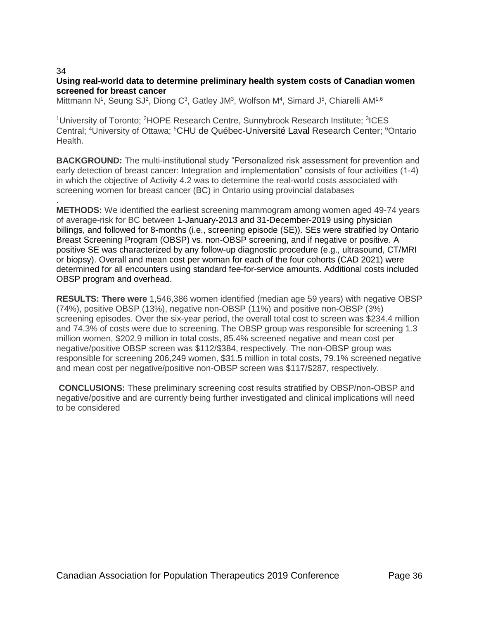.

# **Using real-world data to determine preliminary health system costs of Canadian women screened for breast cancer**

Mittmann N<sup>1</sup>, Seung SJ<sup>2</sup>, Diong C<sup>3</sup>, Gatley JM<sup>3</sup>, Wolfson M<sup>4</sup>, Simard J<sup>5</sup>, Chiarelli AM<sup>1,6</sup>

<sup>1</sup>University of Toronto; <sup>2</sup>HOPE Research Centre, Sunnybrook Research Institute; <sup>3</sup>ICES Central; <sup>4</sup>University of Ottawa; <sup>5</sup>CHU de Québec-Université Laval Research Center; <sup>6</sup>Ontario Health.

**BACKGROUND:** The multi-institutional study "Personalized risk assessment for prevention and early detection of breast cancer: Integration and implementation" consists of four activities (1-4) in which the objective of Activity 4.2 was to determine the real-world costs associated with screening women for breast cancer (BC) in Ontario using provincial databases

**METHODS:** We identified the earliest screening mammogram among women aged 49-74 years of average-risk for BC between 1-January-2013 and 31-December-2019 using physician billings, and followed for 8-months (i.e., screening episode (SE)). SEs were stratified by Ontario Breast Screening Program (OBSP) vs. non-OBSP screening, and if negative or positive. A positive SE was characterized by any follow-up diagnostic procedure (e.g., ultrasound, CT/MRI or biopsy). Overall and mean cost per woman for each of the four cohorts (CAD 2021) were determined for all encounters using standard fee-for-service amounts. Additional costs included OBSP program and overhead.

**RESULTS: There were** 1,546,386 women identified (median age 59 years) with negative OBSP (74%), positive OBSP (13%), negative non-OBSP (11%) and positive non-OBSP (3%) screening episodes. Over the six-year period, the overall total cost to screen was \$234.4 million and 74.3% of costs were due to screening. The OBSP group was responsible for screening 1.3 million women, \$202.9 million in total costs, 85.4% screened negative and mean cost per negative/positive OBSP screen was \$112/\$384, respectively. The non-OBSP group was responsible for screening 206,249 women, \$31.5 million in total costs, 79.1% screened negative and mean cost per negative/positive non-OBSP screen was \$117/\$287, respectively.

**CONCLUSIONS:** These preliminary screening cost results stratified by OBSP/non-OBSP and negative/positive and are currently being further investigated and clinical implications will need to be considered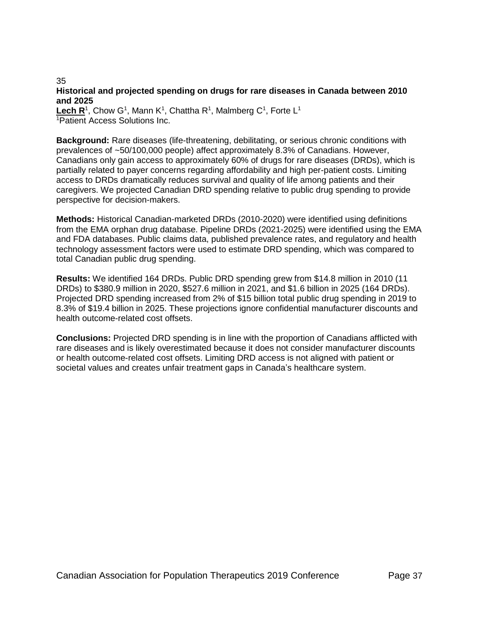#### 35 **Historical and projected spending on drugs for rare diseases in Canada between 2010 and 2025**

Lech R<sup>1</sup>, Chow G<sup>1</sup>, Mann K<sup>1</sup>, Chattha R<sup>1</sup>, Malmberg C<sup>1</sup>, Forte L<sup>1</sup> <sup>1</sup>Patient Access Solutions Inc.

**Background:** Rare diseases (life-threatening, debilitating, or serious chronic conditions with prevalences of ~50/100,000 people) affect approximately 8.3% of Canadians. However, Canadians only gain access to approximately 60% of drugs for rare diseases (DRDs), which is partially related to payer concerns regarding affordability and high per-patient costs. Limiting access to DRDs dramatically reduces survival and quality of life among patients and their caregivers. We projected Canadian DRD spending relative to public drug spending to provide perspective for decision-makers.

**Methods:** Historical Canadian-marketed DRDs (2010-2020) were identified using definitions from the EMA orphan drug database. Pipeline DRDs (2021-2025) were identified using the EMA and FDA databases. Public claims data, published prevalence rates, and regulatory and health technology assessment factors were used to estimate DRD spending, which was compared to total Canadian public drug spending.

**Results:** We identified 164 DRDs. Public DRD spending grew from \$14.8 million in 2010 (11 DRDs) to \$380.9 million in 2020, \$527.6 million in 2021, and \$1.6 billion in 2025 (164 DRDs). Projected DRD spending increased from 2% of \$15 billion total public drug spending in 2019 to 8.3% of \$19.4 billion in 2025. These projections ignore confidential manufacturer discounts and health outcome-related cost offsets.

**Conclusions:** Projected DRD spending is in line with the proportion of Canadians afflicted with rare diseases and is likely overestimated because it does not consider manufacturer discounts or health outcome-related cost offsets. Limiting DRD access is not aligned with patient or societal values and creates unfair treatment gaps in Canada's healthcare system.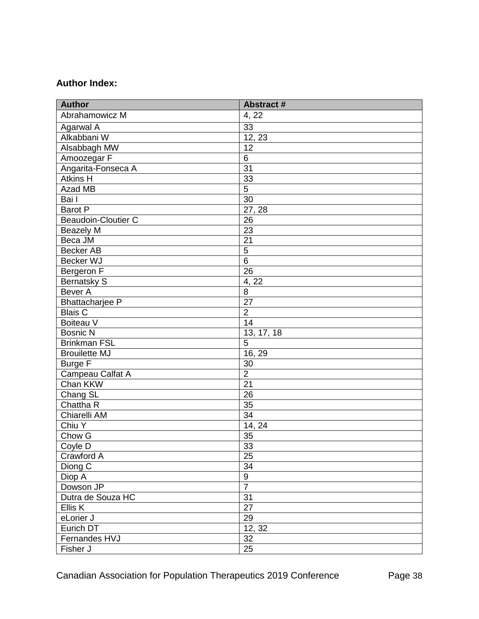# **Author Index:**

| <b>Author</b>              | <b>Abstract#</b> |
|----------------------------|------------------|
| Abrahamowicz M             | 4, 22            |
| Agarwal A                  | 33               |
| Alkabbani W                | 12, 23           |
| Alsabbagh MW               | 12               |
| Amoozegar F                | 6                |
| Angarita-Fonseca A         | 31               |
| <b>Atkins H</b>            | 33               |
| Azad MB                    | $\overline{5}$   |
| Bai I                      | $\overline{30}$  |
| Barot P                    | 27, 28           |
| <b>Beaudoin-Cloutier C</b> | 26               |
| <b>Beazely M</b>           | 23               |
| Beca JM                    | $\overline{21}$  |
| <b>Becker AB</b>           | 5                |
| Becker WJ                  | $6\phantom{1}6$  |
| Bergeron F                 | 26               |
| <b>Bernatsky S</b>         | 4, 22            |
| Bever A                    | 8                |
| <b>Bhattacharjee P</b>     | 27               |
| <b>Blais C</b>             | $\overline{2}$   |
| Boiteau V                  | 14               |
| <b>Bosnic N</b>            | 13, 17, 18       |
| <b>Brinkman FSL</b>        | 5                |
| <b>Broullette MJ</b>       | 16, 29           |
| <b>Burge F</b>             | 30               |
| Campeau Calfat A           | $\overline{2}$   |
| Chan KKW                   | $\overline{21}$  |
| Chang SL                   | 26               |
| Chattha R                  | 35               |
| Chiarelli AM               | 34               |
| Chiu Y                     | 14, 24           |
| Chow G                     | 35               |
| Coyle D                    | 33               |
| Crawford A                 | 25               |
| Diong C                    | 34               |
| Diop A                     | 9                |
| Dowson JP                  | $\overline{7}$   |
| Dutra de Souza HC          | $\overline{31}$  |
| Ellis K                    | $\overline{27}$  |
| eLorier J                  | 29               |
| Eurich DT                  | 12, 32           |
| Fernandes HVJ              | 32               |
| Fisher J                   | $\overline{25}$  |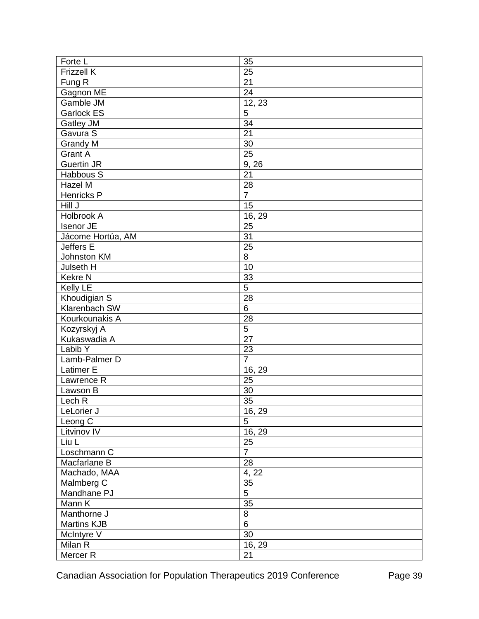| Forte L             | 35              |
|---------------------|-----------------|
| <b>Frizzell K</b>   | 25              |
| Fung R              | 21              |
| Gagnon ME           | 24              |
| Gamble JM           | 12, 23          |
| <b>Garlock ES</b>   | 5               |
| Gatley JM           | 34              |
| Gavura S            | $\overline{21}$ |
| Grandy M            | 30              |
| <b>Grant A</b>      | $\overline{25}$ |
| <b>Guertin JR</b>   | 9, 26           |
| Habbous S           | 21              |
| Hazel M             | 28              |
| Henricks P          | $\overline{7}$  |
| Hill J              | 15              |
| Holbrook A          | 16, 29          |
| Isenor JE           | 25              |
| Jácome Hortúa, AM   | 31              |
| Jeffers E           | 25              |
| Johnston KM         | $\overline{8}$  |
| Julseth H           | 10              |
| <b>Kekre N</b>      | 33              |
| Kelly LE            | 5               |
| Khoudigian S        | 28              |
| Klarenbach SW       | $\overline{6}$  |
| Kourkounakis A      | 28              |
| Kozyrskyj A         | $\overline{5}$  |
| Kukaswadia A        | $\overline{27}$ |
| Labib Y             | 23              |
| Lamb-Palmer D       | $\overline{7}$  |
| Latimer E           | 16, 29          |
| Lawrence R          | 25              |
| Lawson B            | 30              |
| Lech <sub>R</sub>   | 35              |
| LeLorier J          | 16, 29          |
| Leong C             | 5               |
| Litvinov IV         | 16, 29          |
| Liu L               | 25              |
| Loschmann C         | $\overline{7}$  |
| Macfarlane B        | 28              |
| Machado, MAA        | 4, 22           |
| Malmberg C          | $35\,$          |
| Mandhane PJ         | $\overline{5}$  |
| Mann K              | 35              |
| Manthorne J         | $\overline{8}$  |
| Martins KJB         | $\overline{6}$  |
| McIntyre V          | $\overline{30}$ |
| Milan R             | 16, 29          |
| Mercer <sub>R</sub> | 21              |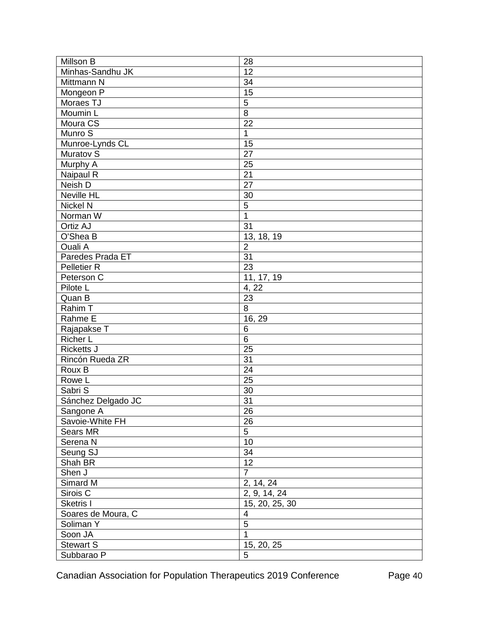| Millson B           | 28                      |
|---------------------|-------------------------|
| Minhas-Sandhu JK    | 12                      |
| Mittmann N          | 34                      |
| Mongeon P           | $\overline{15}$         |
| Moraes TJ           | 5                       |
| Moumin L            | $\overline{8}$          |
| Moura CS            | 22                      |
| Munro S             | 1                       |
| Munroe-Lynds CL     | 15                      |
| Muratov S           | $\overline{27}$         |
| Murphy A            | 25                      |
| Naipaul R           | 21                      |
| Neish D             | 27                      |
| Neville HL          | 30                      |
| Nickel N            | $\overline{5}$          |
| Norman W            | $\mathbf{1}$            |
| Ortiz AJ            | 31                      |
| O'Shea B            | 13, 18, 19              |
| Ouali A             | $\overline{2}$          |
| Paredes Prada ET    | $\overline{31}$         |
| <b>Pelletier R</b>  | $\overline{23}$         |
| Peterson C          | 11, 17, 19              |
| Pilote L            | 4, 22                   |
| Quan B              | 23                      |
| Rahim T             | $\overline{8}$          |
| Rahme E             | 16, 29                  |
| Rajapakse T         | 6                       |
| Richer L            | $6\phantom{1}6$         |
| Ricketts J          | $\overline{25}$         |
| Rincón Rueda ZR     | $\overline{31}$         |
| Roux B              | 24                      |
| Rowe L              | 25                      |
| Sabri S             | 30                      |
| Sánchez Delgado JC  | $\overline{31}$         |
| Sangone A           | 26                      |
| Savoie-White FH     | 26                      |
| Sears MR            | 5                       |
| Serena N            | 10                      |
| Seung SJ            | 34                      |
| Shah BR             | $\overline{12}$         |
| Shen J              | $\overline{7}$          |
| Simard M            | 2, 14, 24               |
| Sirois <sub>C</sub> | 2, 9, 14, 24            |
| Sketris I           | 15, 20, 25, 30          |
| Soares de Moura, C  | $\overline{\mathbf{4}}$ |
| Soliman Y           | $\overline{5}$          |
| Soon JA             | $\overline{1}$          |
| <b>Stewart S</b>    | 15, 20, 25              |
| Subbarao P          | 5                       |